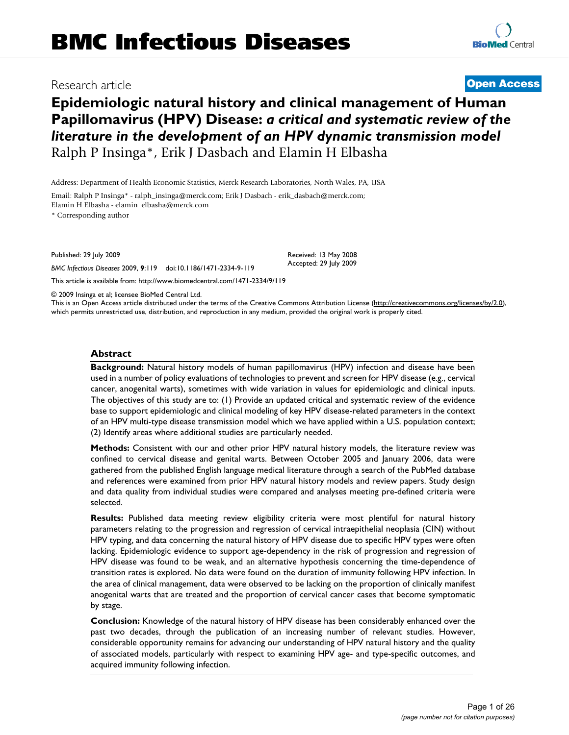# **Epidemiologic natural history and clinical management of Human Papillomavirus (HPV) Disease:** *a critical and systematic review of the literature in the development of an HPV dynamic transmission model* Ralph P Insinga\*, Erik J Dasbach and Elamin H Elbasha

Address: Department of Health Economic Statistics, Merck Research Laboratories, North Wales, PA, USA

Email: Ralph P Insinga\* - ralph\_insinga@merck.com; Erik J Dasbach - erik\_dasbach@merck.com; Elamin H Elbasha - elamin\_elbasha@merck.com

\* Corresponding author

Published: 29 July 2009

*BMC Infectious Diseases* 2009, **9**:119 doi:10.1186/1471-2334-9-119

[This article is available from: http://www.biomedcentral.com/1471-2334/9/119](http://www.biomedcentral.com/1471-2334/9/119)

© 2009 Insinga et al; licensee BioMed Central Ltd.

This is an Open Access article distributed under the terms of the Creative Commons Attribution License [\(http://creativecommons.org/licenses/by/2.0\)](http://creativecommons.org/licenses/by/2.0), which permits unrestricted use, distribution, and reproduction in any medium, provided the original work is properly cited.

#### **Abstract**

**Background:** Natural history models of human papillomavirus (HPV) infection and disease have been used in a number of policy evaluations of technologies to prevent and screen for HPV disease (e.g., cervical cancer, anogenital warts), sometimes with wide variation in values for epidemiologic and clinical inputs. The objectives of this study are to: (1) Provide an updated critical and systematic review of the evidence base to support epidemiologic and clinical modeling of key HPV disease-related parameters in the context of an HPV multi-type disease transmission model which we have applied within a U.S. population context; (2) Identify areas where additional studies are particularly needed.

**Methods:** Consistent with our and other prior HPV natural history models, the literature review was confined to cervical disease and genital warts. Between October 2005 and January 2006, data were gathered from the published English language medical literature through a search of the PubMed database and references were examined from prior HPV natural history models and review papers. Study design and data quality from individual studies were compared and analyses meeting pre-defined criteria were selected.

**Results:** Published data meeting review eligibility criteria were most plentiful for natural history parameters relating to the progression and regression of cervical intraepithelial neoplasia (CIN) without HPV typing, and data concerning the natural history of HPV disease due to specific HPV types were often lacking. Epidemiologic evidence to support age-dependency in the risk of progression and regression of HPV disease was found to be weak, and an alternative hypothesis concerning the time-dependence of transition rates is explored. No data were found on the duration of immunity following HPV infection. In the area of clinical management, data were observed to be lacking on the proportion of clinically manifest anogenital warts that are treated and the proportion of cervical cancer cases that become symptomatic by stage.

**Conclusion:** Knowledge of the natural history of HPV disease has been considerably enhanced over the past two decades, through the publication of an increasing number of relevant studies. However, considerable opportunity remains for advancing our understanding of HPV natural history and the quality of associated models, particularly with respect to examining HPV age- and type-specific outcomes, and acquired immunity following infection.

# Research article **[Open Access](http://www.biomedcentral.com/info/about/charter/)**

Received: 13 May 2008 Accepted: 29 July 2009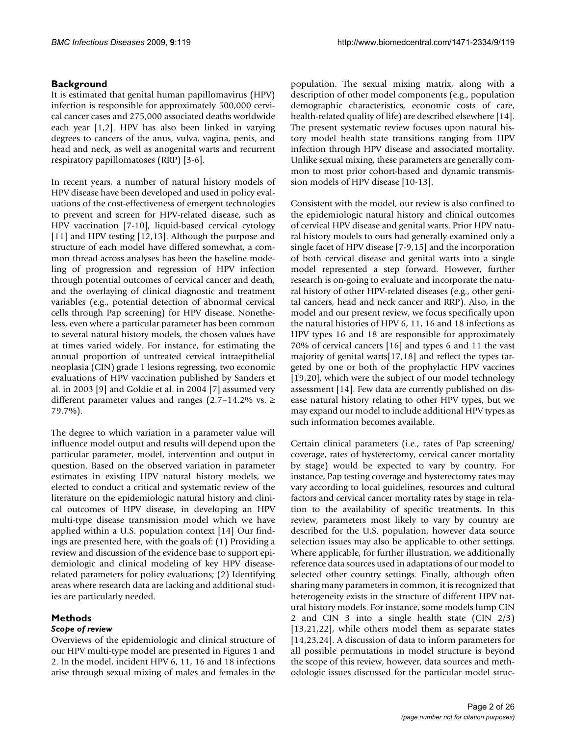# **Background**

It is estimated that genital human papillomavirus (HPV) infection is responsible for approximately 500,000 cervical cancer cases and 275,000 associated deaths worldwide each year [1,2]. HPV has also been linked in varying degrees to cancers of the anus, vulva, vagina, penis, and head and neck, as well as anogenital warts and recurrent respiratory papillomatoses (RRP) [3-6].

In recent years, a number of natural history models of HPV disease have been developed and used in policy evaluations of the cost-effectiveness of emergent technologies to prevent and screen for HPV-related disease, such as HPV vaccination [7-10], liquid-based cervical cytology [11] and HPV testing [12,13]. Although the purpose and structure of each model have differed somewhat, a common thread across analyses has been the baseline modeling of progression and regression of HPV infection through potential outcomes of cervical cancer and death, and the overlaying of clinical diagnostic and treatment variables (e.g., potential detection of abnormal cervical cells through Pap screening) for HPV disease. Nonetheless, even where a particular parameter has been common to several natural history models, the chosen values have at times varied widely. For instance, for estimating the annual proportion of untreated cervical intraepithelial neoplasia (CIN) grade 1 lesions regressing, two economic evaluations of HPV vaccination published by Sanders et al. in 2003 [9] and Goldie et al. in 2004 [7] assumed very different parameter values and ranges (2.7–14.2% vs.  $\geq$ 79.7%).

The degree to which variation in a parameter value will influence model output and results will depend upon the particular parameter, model, intervention and output in question. Based on the observed variation in parameter estimates in existing HPV natural history models, we elected to conduct a critical and systematic review of the literature on the epidemiologic natural history and clinical outcomes of HPV disease, in developing an HPV multi-type disease transmission model which we have applied within a U.S. population context [14] Our findings are presented here, with the goals of: (1) Providing a review and discussion of the evidence base to support epidemiologic and clinical modeling of key HPV diseaserelated parameters for policy evaluations; (2) Identifying areas where research data are lacking and additional studies are particularly needed.

# **Methods**

# *Scope of review*

Overviews of the epidemiologic and clinical structure of our HPV multi-type model are presented in Figures 1 and 2. In the model, incident HPV 6, 11, 16 and 18 infections arise through sexual mixing of males and females in the population. The sexual mixing matrix, along with a description of other model components (e.g., population demographic characteristics, economic costs of care, health-related quality of life) are described elsewhere [14]. The present systematic review focuses upon natural history model health state transitions ranging from HPV infection through HPV disease and associated mortality. Unlike sexual mixing, these parameters are generally common to most prior cohort-based and dynamic transmission models of HPV disease [10-13].

Consistent with the model, our review is also confined to the epidemiologic natural history and clinical outcomes of cervical HPV disease and genital warts. Prior HPV natural history models to ours had generally examined only a single facet of HPV disease [7-9,15] and the incorporation of both cervical disease and genital warts into a single model represented a step forward. However, further research is on-going to evaluate and incorporate the natural history of other HPV-related diseases (e.g., other genital cancers, head and neck cancer and RRP). Also, in the model and our present review, we focus specifically upon the natural histories of HPV 6, 11, 16 and 18 infections as HPV types 16 and 18 are responsible for approximately 70% of cervical cancers [16] and types 6 and 11 the vast majority of genital warts[17,18] and reflect the types targeted by one or both of the prophylactic HPV vaccines [19,20], which were the subject of our model technology assessment [14]. Few data are currently published on disease natural history relating to other HPV types, but we may expand our model to include additional HPV types as such information becomes available.

Certain clinical parameters (i.e., rates of Pap screening/ coverage, rates of hysterectomy, cervical cancer mortality by stage) would be expected to vary by country. For instance, Pap testing coverage and hysterectomy rates may vary according to local guidelines, resources and cultural factors and cervical cancer mortality rates by stage in relation to the availability of specific treatments. In this review, parameters most likely to vary by country are described for the U.S. population, however data source selection issues may also be applicable to other settings. Where applicable, for further illustration, we additionally reference data sources used in adaptations of our model to selected other country settings. Finally, although often sharing many parameters in common, it is recognized that heterogeneity exists in the structure of different HPV natural history models. For instance, some models lump CIN 2 and CIN 3 into a single health state (CIN 2/3) [13,21,22], while others model them as separate states [14,23,24]. A discussion of data to inform parameters for all possible permutations in model structure is beyond the scope of this review, however, data sources and methodologic issues discussed for the particular model struc-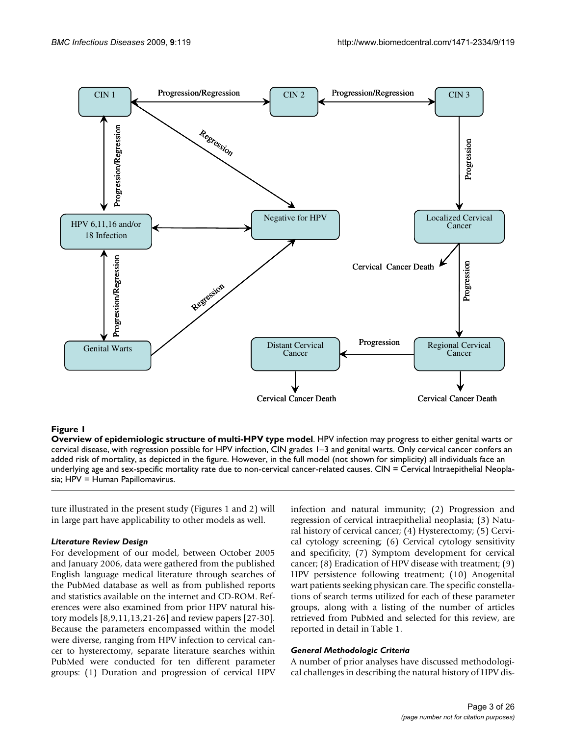

#### Figure 1

**Overview of epidemiologic structure of multi-HPV type model**. HPV infection may progress to either genital warts or cervical disease, with regression possible for HPV infection, CIN grades 1–3 and genital warts. Only cervical cancer confers an added risk of mortality, as depicted in the figure. However, in the full model (not shown for simplicity) all individuals face an underlying age and sex-specific mortality rate due to non-cervical cancer-related causes. CIN = Cervical Intraepithelial Neoplasia; HPV = Human Papillomavirus.

ture illustrated in the present study (Figures 1 and 2) will in large part have applicability to other models as well.

#### *Literature Review Design*

For development of our model, between October 2005 and January 2006, data were gathered from the published English language medical literature through searches of the PubMed database as well as from published reports and statistics available on the internet and CD-ROM. References were also examined from prior HPV natural history models [8,9,11,13,21-26] and review papers [27-30]. Because the parameters encompassed within the model were diverse, ranging from HPV infection to cervical cancer to hysterectomy, separate literature searches within PubMed were conducted for ten different parameter groups: (1) Duration and progression of cervical HPV infection and natural immunity; (2) Progression and regression of cervical intraepithelial neoplasia; (3) Natural history of cervical cancer; (4) Hysterectomy; (5) Cervical cytology screening; (6) Cervical cytology sensitivity and specificity; (7) Symptom development for cervical cancer; (8) Eradication of HPV disease with treatment; (9) HPV persistence following treatment; (10) Anogenital wart patients seeking physican care. The specific constellations of search terms utilized for each of these parameter groups, along with a listing of the number of articles retrieved from PubMed and selected for this review, are reported in detail in Table 1.

#### *General Methodologic Criteria*

A number of prior analyses have discussed methodological challenges in describing the natural history of HPV dis-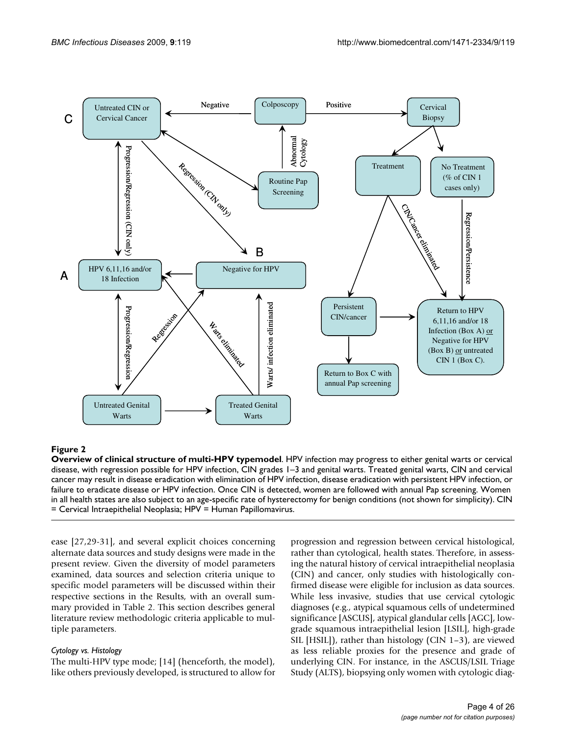

# **Figure 2**

**Overview of clinical structure of multi-HPV typemodel**. HPV infection may progress to either genital warts or cervical disease, with regression possible for HPV infection, CIN grades 1–3 and genital warts. Treated genital warts, CIN and cervical cancer may result in disease eradication with elimination of HPV infection, disease eradication with persistent HPV infection, or failure to eradicate disease or HPV infection. Once CIN is detected, women are followed with annual Pap screening. Women in all health states are also subject to an age-specific rate of hysterectomy for benign conditions (not shown for simplicity). CIN = Cervical Intraepithelial Neoplasia; HPV = Human Papillomavirus.

ease [27,29-31], and several explicit choices concerning alternate data sources and study designs were made in the present review. Given the diversity of model parameters examined, data sources and selection criteria unique to specific model parameters will be discussed within their respective sections in the Results, with an overall summary provided in Table 2. This section describes general literature review methodologic criteria applicable to multiple parameters.

#### *Cytology vs. Histology*

The multi-HPV type mode; [14] (henceforth, the model), like others previously developed, is structured to allow for progression and regression between cervical histological, rather than cytological, health states. Therefore, in assessing the natural history of cervical intraepithelial neoplasia (CIN) and cancer, only studies with histologically confirmed disease were eligible for inclusion as data sources. While less invasive, studies that use cervical cytologic diagnoses (e.g., atypical squamous cells of undetermined significance [ASCUS], atypical glandular cells [AGC], lowgrade squamous intraepithelial lesion [LSIL], high-grade SIL [HSIL]), rather than histology (CIN 1–3), are viewed as less reliable proxies for the presence and grade of underlying CIN. For instance, in the ASCUS/LSIL Triage Study (ALTS), biopsying only women with cytologic diag-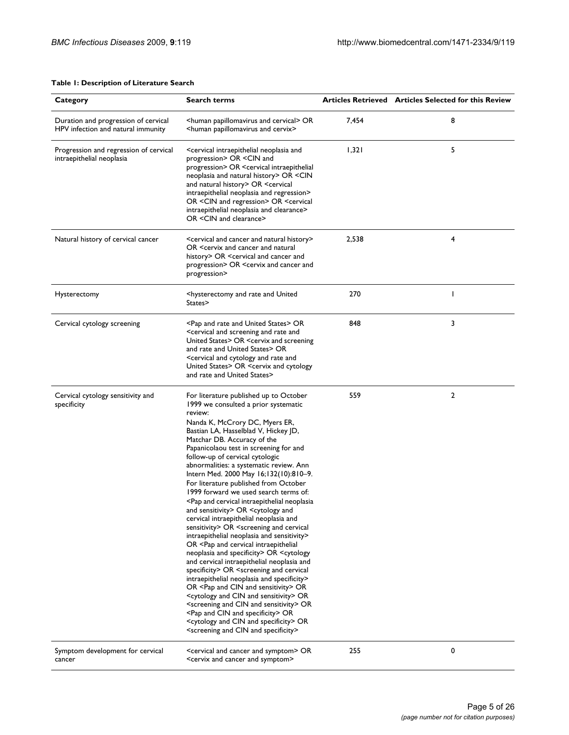#### **Table 1: Description of Literature Search**

| Category                                                                   | <b>Search terms</b>                                                                                                                                                                                                                                                                                                                                                                                                                                                                                                                                                                                                                                                                                                                                                                                                                                                                                                                                                                                                                                                                                                                                                                                                                                                                                                                                                       |       | Articles Retrieved Articles Selected for this Review |
|----------------------------------------------------------------------------|---------------------------------------------------------------------------------------------------------------------------------------------------------------------------------------------------------------------------------------------------------------------------------------------------------------------------------------------------------------------------------------------------------------------------------------------------------------------------------------------------------------------------------------------------------------------------------------------------------------------------------------------------------------------------------------------------------------------------------------------------------------------------------------------------------------------------------------------------------------------------------------------------------------------------------------------------------------------------------------------------------------------------------------------------------------------------------------------------------------------------------------------------------------------------------------------------------------------------------------------------------------------------------------------------------------------------------------------------------------------------|-------|------------------------------------------------------|
| Duration and progression of cervical<br>HPV infection and natural immunity | Shuman papillomavirus and cervical> OR<br><human and="" cervix="" papillomavirus=""></human>                                                                                                                                                                                                                                                                                                                                                                                                                                                                                                                                                                                                                                                                                                                                                                                                                                                                                                                                                                                                                                                                                                                                                                                                                                                                              | 7,454 | 8                                                    |
| Progression and regression of cervical<br>intraepithelial neoplasia        | <cervical and<br="" intraepithelial="" neoplasia="">progression&gt; OR <cin and<br="">progression&gt; OR <cervical intraepithelial<br="">neoplasia and natural history&gt; OR <cin<br>and natural history&gt; OR <cervical<br>intraepithelial neoplasia and regression&gt;<br/>OR <cin and="" regression=""> OR <cervical<br>intraepithelial neoplasia and clearance&gt;<br/>OR <cin and="" clearance=""></cin></cervical<br></cin></cervical<br></cin<br></cervical></cin></cervical>                                                                                                                                                                                                                                                                                                                                                                                                                                                                                                                                                                                                                                                                                                                                                                                                                                                                                    | 1,321 | 5                                                    |
| Natural history of cervical cancer                                         | <cervical and="" cancer="" history="" natural=""><br/>OR <cervix and="" cancer="" natural<br="">history&gt; OR <cervical and="" and<br="" cancer="">progression&gt; OR <cervix and="" and<br="" cancer="">progression&gt;</cervix></cervical></cervix></cervical>                                                                                                                                                                                                                                                                                                                                                                                                                                                                                                                                                                                                                                                                                                                                                                                                                                                                                                                                                                                                                                                                                                         | 2,538 | 4                                                    |
| Hysterectomy                                                               | <hysterectomy and="" rate="" united<br="">States&gt;</hysterectomy>                                                                                                                                                                                                                                                                                                                                                                                                                                                                                                                                                                                                                                                                                                                                                                                                                                                                                                                                                                                                                                                                                                                                                                                                                                                                                                       | 270   | T                                                    |
| Cervical cytology screening                                                | <pap and="" rate="" states="" united=""> OR<br/><cervical and="" and<br="" rate="" screening="">United States&gt; OR <cervix and="" screening<br="">and rate and United States&gt; OR<br/><cervical and="" and<br="" cytology="" rate="">United States&gt; OR <cervix and="" cytology<br="">and rate and United States&gt;</cervix></cervical></cervix></cervical></pap>                                                                                                                                                                                                                                                                                                                                                                                                                                                                                                                                                                                                                                                                                                                                                                                                                                                                                                                                                                                                  | 848   | 3                                                    |
| Cervical cytology sensitivity and<br>specificity                           | For literature published up to October<br>1999 we consulted a prior systematic<br>review:<br>Nanda K, McCrory DC, Myers ER,<br>Bastian LA, Hasselblad V, Hickey JD,<br>Matchar DB. Accuracy of the<br>Papanicolaou test in screening for and<br>follow-up of cervical cytologic<br>abnormalities: a systematic review. Ann<br>Intern Med. 2000 May 16;132(10):810-9.<br>For literature published from October<br>1999 forward we used search terms of:<br><pap and="" cervical="" intraepithelial="" neoplasia<br="">and sensitivity&gt; OR <cytology and<br="">cervical intraepithelial neoplasia and<br/>sensitivity&gt; OR <screening and="" cervical<br="">intraepithelial neoplasia and sensitivity&gt;<br/>OR <pap and="" cervical="" intraepithelial<br="">neoplasia and specificity&gt; OR <cytology<br>and cervical intraepithelial neoplasia and<br/>specificity&gt; OR <screening and="" cervical<br="">intraepithelial neoplasia and specificity&gt;<br/>OR <pap and="" cin="" sensitivity=""> OR<br/><cytology and="" cin="" sensitivity=""> OR<br/><screening and="" cin="" sensitivity=""> OR<br/><pap and="" cin="" specificity=""> OR<br/><cytology and="" cin="" specificity=""> OR<br/><screening and="" cin="" specificity=""></screening></cytology></pap></screening></cytology></pap></screening></cytology<br></pap></screening></cytology></pap> | 559   | 2                                                    |
| Symptom development for cervical<br>cancer                                 | <cervical and="" cancer="" symptom=""> OR<br/><cervix and="" cancer="" symptom=""></cervix></cervical>                                                                                                                                                                                                                                                                                                                                                                                                                                                                                                                                                                                                                                                                                                                                                                                                                                                                                                                                                                                                                                                                                                                                                                                                                                                                    | 255   | 0                                                    |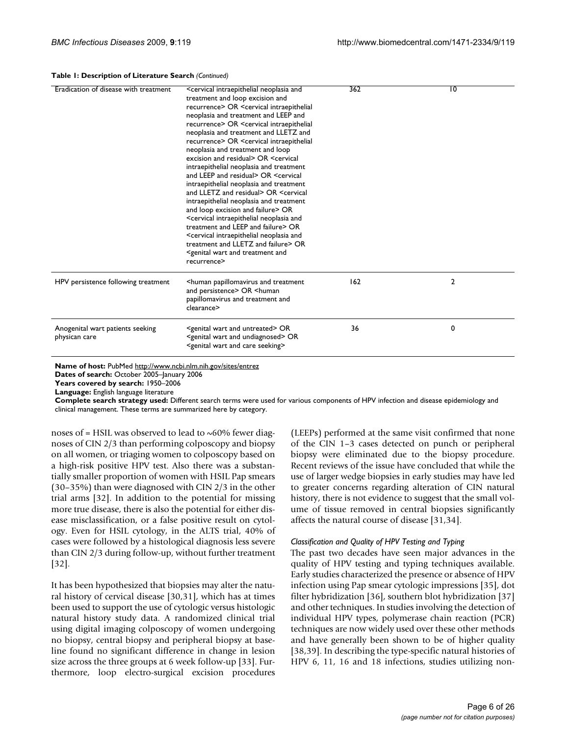#### **Table 1: Description of Literature Search** *(Continued)*

| Eradication of disease with treatment             | <cervical and<br="" intraepithelial="" neoplasia="">treatment and loop excision and<br/>recurrence&gt; OR <cervical intraepithelial<br="">neoplasia and treatment and LEEP and<br/>recurrence&gt; OR <cervical intraepithelial<br="">neoplasia and treatment and LLETZ and<br/>recurrence&gt; OR <cervical intraepithelial<br="">neoplasia and treatment and loop<br/>excision and residual&gt; OR <cervical<br>intraepithelial neoplasia and treatment<br/>and LEEP and residual&gt; OR <cervical<br>intraepithelial neoplasia and treatment<br/>and LLETZ and residual&gt; OR <cervical<br>intraepithelial neoplasia and treatment<br/>and loop excision and failure&gt; OR<br/><cervical and<br="" intraepithelial="" neoplasia="">treatment and LEEP and failure&gt; OR<br/><cervical and<br="" intraepithelial="" neoplasia="">treatment and LLETZ and failure&gt; OR<br/><genital and="" and<br="" treatment="" wart="">recurrence&gt;</genital></cervical></cervical></cervical<br></cervical<br></cervical<br></cervical></cervical></cervical></cervical> | 362 | 10 |
|---------------------------------------------------|--------------------------------------------------------------------------------------------------------------------------------------------------------------------------------------------------------------------------------------------------------------------------------------------------------------------------------------------------------------------------------------------------------------------------------------------------------------------------------------------------------------------------------------------------------------------------------------------------------------------------------------------------------------------------------------------------------------------------------------------------------------------------------------------------------------------------------------------------------------------------------------------------------------------------------------------------------------------------------------------------------------------------------------------------------------------|-----|----|
| HPV persistence following treatment               | <human and="" papillomavirus="" treatment<br="">and persistence&gt; OR <human<br>papillomavirus and treatment and<br/>clearance&gt;</human<br></human>                                                                                                                                                                                                                                                                                                                                                                                                                                                                                                                                                                                                                                                                                                                                                                                                                                                                                                             | 162 | 2  |
| Anogenital wart patients seeking<br>physican care | <genital and="" untreated="" wart=""> OR<br/><genital and="" undiagnosed="" wart=""> OR<br/><genital and="" care="" seeking="" wart=""></genital></genital></genital>                                                                                                                                                                                                                                                                                                                                                                                                                                                                                                                                                                                                                                                                                                                                                                                                                                                                                              | 36  | 0  |

**Name of host:** PubMed<http://www.ncbi.nlm.nih.gov/sites/entrez>

**Dates of search:** October 2005–January 2006

**Years covered by search:** 1950–2006

**Language:** English language literature

**Complete search strategy used:** Different search terms were used for various components of HPV infection and disease epidemiology and clinical management. These terms are summarized here by category.

noses of  $=$  HSIL was observed to lead to  $\sim$  60% fewer diagnoses of CIN 2/3 than performing colposcopy and biopsy on all women, or triaging women to colposcopy based on a high-risk positive HPV test. Also there was a substantially smaller proportion of women with HSIL Pap smears (30–35%) than were diagnosed with CIN 2/3 in the other trial arms [32]. In addition to the potential for missing more true disease, there is also the potential for either disease misclassification, or a false positive result on cytology. Even for HSIL cytology, in the ALTS trial, 40% of cases were followed by a histological diagnosis less severe than CIN 2/3 during follow-up, without further treatment [32].

It has been hypothesized that biopsies may alter the natural history of cervical disease [30,31], which has at times been used to support the use of cytologic versus histologic natural history study data. A randomized clinical trial using digital imaging colposcopy of women undergoing no biopsy, central biopsy and peripheral biopsy at baseline found no significant difference in change in lesion size across the three groups at 6 week follow-up [33]. Furthermore, loop electro-surgical excision procedures

(LEEPs) performed at the same visit confirmed that none of the CIN 1–3 cases detected on punch or peripheral biopsy were eliminated due to the biopsy procedure. Recent reviews of the issue have concluded that while the use of larger wedge biopsies in early studies may have led to greater concerns regarding alteration of CIN natural history, there is not evidence to suggest that the small volume of tissue removed in central biopsies significantly affects the natural course of disease [31,34].

#### *Classification and Quality of HPV Testing and Typing*

The past two decades have seen major advances in the quality of HPV testing and typing techniques available. Early studies characterized the presence or absence of HPV infection using Pap smear cytologic impressions [35], dot filter hybridization [36], southern blot hybridization [37] and other techniques. In studies involving the detection of individual HPV types, polymerase chain reaction (PCR) techniques are now widely used over these other methods and have generally been shown to be of higher quality [38,39]. In describing the type-specific natural histories of HPV 6, 11, 16 and 18 infections, studies utilizing non-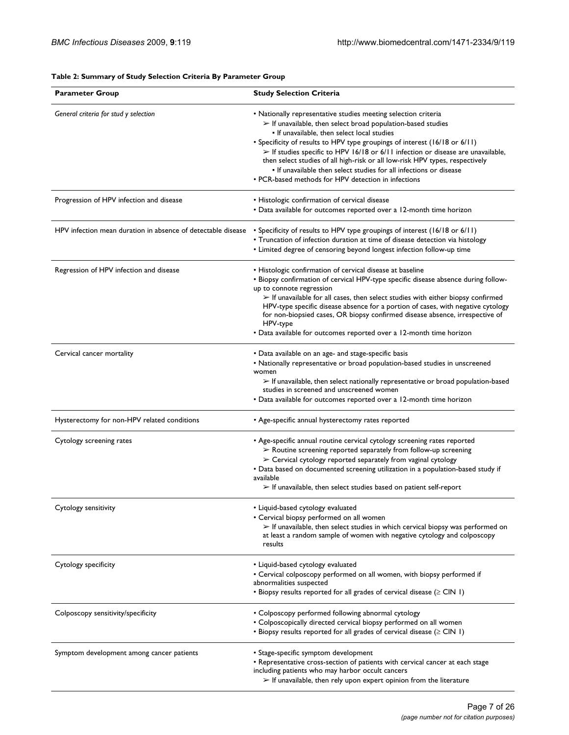## **Table 2: Summary of Study Selection Criteria By Parameter Group**

| <b>Parameter Group</b>                                       | <b>Study Selection Criteria</b>                                                                                                                                                                                                                                                                                                                                                                                                                                                                                                                                             |
|--------------------------------------------------------------|-----------------------------------------------------------------------------------------------------------------------------------------------------------------------------------------------------------------------------------------------------------------------------------------------------------------------------------------------------------------------------------------------------------------------------------------------------------------------------------------------------------------------------------------------------------------------------|
| General criteria for stud y selection                        | • Nationally representative studies meeting selection criteria<br>$\triangleright$ If unavailable, then select broad population-based studies<br>• If unavailable, then select local studies<br>• Specificity of results to HPV type groupings of interest (16/18 or 6/11)<br>> If studies specific to HPV 16/18 or 6/11 infection or disease are unavailable,<br>then select studies of all high-risk or all low-risk HPV types, respectively<br>. If unavailable then select studies for all infections or disease<br>• PCR-based methods for HPV detection in infections |
|                                                              |                                                                                                                                                                                                                                                                                                                                                                                                                                                                                                                                                                             |
| Progression of HPV infection and disease                     | • Histologic confirmation of cervical disease<br>• Data available for outcomes reported over a 12-month time horizon                                                                                                                                                                                                                                                                                                                                                                                                                                                        |
| HPV infection mean duration in absence of detectable disease | • Specificity of results to HPV type groupings of interest (16/18 or 6/11)<br>• Truncation of infection duration at time of disease detection via histology<br>• Limited degree of censoring beyond longest infection follow-up time                                                                                                                                                                                                                                                                                                                                        |
| Regression of HPV infection and disease                      | • Histologic confirmation of cervical disease at baseline<br>. Biopsy confirmation of cervical HPV-type specific disease absence during follow-<br>up to connote regression<br>$\triangleright$ If unavailable for all cases, then select studies with either biopsy confirmed<br>HPV-type specific disease absence for a portion of cases, with negative cytology<br>for non-biopsied cases, OR biopsy confirmed disease absence, irrespective of<br>HPV-type<br>• Data available for outcomes reported over a 12-month time horizon                                       |
| Cervical cancer mortality                                    | • Data available on an age- and stage-specific basis<br>• Nationally representative or broad population-based studies in unscreened<br>women<br>$\triangleright$ If unavailable, then select nationally representative or broad population-based<br>studies in screened and unscreened women<br>• Data available for outcomes reported over a 12-month time horizon                                                                                                                                                                                                         |
| Hysterectomy for non-HPV related conditions                  | • Age-specific annual hysterectomy rates reported                                                                                                                                                                                                                                                                                                                                                                                                                                                                                                                           |
| Cytology screening rates                                     | • Age-specific annual routine cervical cytology screening rates reported<br>$\triangleright$ Routine screening reported separately from follow-up screening<br>$\triangleright$ Cervical cytology reported separately from vaginal cytology<br>• Data based on documented screening utilization in a population-based study if<br>available<br>$\triangleright$ If unavailable, then select studies based on patient self-report                                                                                                                                            |
| Cytology sensitivity                                         | • Liquid-based cytology evaluated<br>• Cervical biopsy performed on all women<br>$\triangleright$ If unavailable, then select studies in which cervical biopsy was performed on<br>at least a random sample of women with negative cytology and colposcopy<br>results                                                                                                                                                                                                                                                                                                       |
| Cytology specificity                                         | • Liquid-based cytology evaluated<br>• Cervical colposcopy performed on all women, with biopsy performed if<br>abnormalities suspected<br>$\bullet$ Biopsy results reported for all grades of cervical disease ( $\geq$ CIN 1)                                                                                                                                                                                                                                                                                                                                              |
| Colposcopy sensitivity/specificity                           | • Colposcopy performed following abnormal cytology<br>• Colposcopically directed cervical biopsy performed on all women<br>• Biopsy results reported for all grades of cervical disease ( $\geq$ CIN 1)                                                                                                                                                                                                                                                                                                                                                                     |
| Symptom development among cancer patients                    | • Stage-specific symptom development<br>• Representative cross-section of patients with cervical cancer at each stage<br>including patients who may harbor occult cancers<br>$\triangleright$ If unavailable, then rely upon expert opinion from the literature                                                                                                                                                                                                                                                                                                             |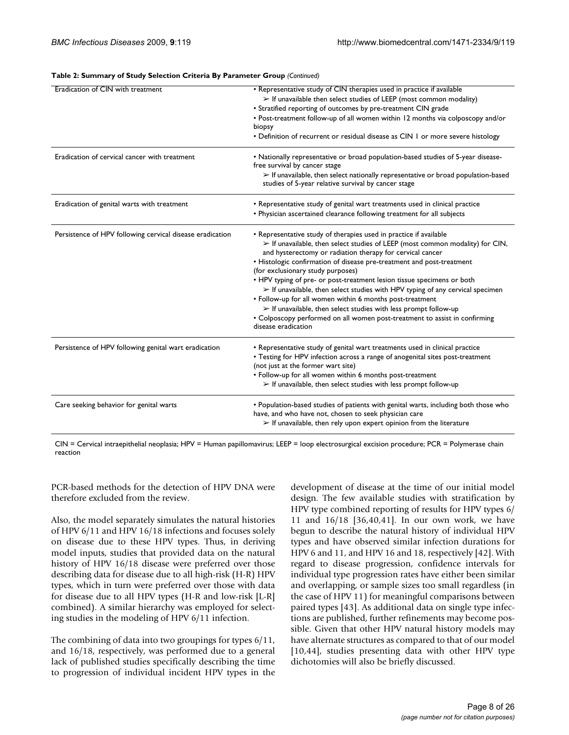| Eradication of CIN with treatment                         | • Representative study of CIN therapies used in practice if available<br>$\triangleright$ If unavailable then select studies of LEEP (most common modality)<br>• Stratified reporting of outcomes by pre-treatment CIN grade<br>• Post-treatment follow-up of all women within 12 months via colposcopy and/or<br>biopsy<br>• Definition of recurrent or residual disease as CIN 1 or more severe histology                                                                                                                                                                                                                                                                                                                                                                 |
|-----------------------------------------------------------|-----------------------------------------------------------------------------------------------------------------------------------------------------------------------------------------------------------------------------------------------------------------------------------------------------------------------------------------------------------------------------------------------------------------------------------------------------------------------------------------------------------------------------------------------------------------------------------------------------------------------------------------------------------------------------------------------------------------------------------------------------------------------------|
| Eradication of cervical cancer with treatment             | • Nationally representative or broad population-based studies of 5-year disease-<br>free survival by cancer stage<br>$\triangleright$ If unavailable, then select nationally representative or broad population-based<br>studies of 5-year relative survival by cancer stage                                                                                                                                                                                                                                                                                                                                                                                                                                                                                                |
| Eradication of genital warts with treatment               | • Representative study of genital wart treatments used in clinical practice<br>• Physician ascertained clearance following treatment for all subjects                                                                                                                                                                                                                                                                                                                                                                                                                                                                                                                                                                                                                       |
| Persistence of HPV following cervical disease eradication | • Representative study of therapies used in practice if available<br>$\triangleright$ If unavailable, then select studies of LEEP (most common modality) for CIN,<br>and hysterectomy or radiation therapy for cervical cancer<br>• Histologic confirmation of disease pre-treatment and post-treatment<br>(for exclusionary study purposes)<br>• HPV typing of pre- or post-treatment lesion tissue specimens or both<br>$\triangleright$ If unavailable, then select studies with HPV typing of any cervical specimen<br>• Follow-up for all women within 6 months post-treatment<br>$\triangleright$ If unavailable, then select studies with less prompt follow-up<br>• Colposcopy performed on all women post-treatment to assist in confirming<br>disease eradication |
| Persistence of HPV following genital wart eradication     | • Representative study of genital wart treatments used in clinical practice<br>• Testing for HPV infection across a range of anogenital sites post-treatment<br>(not just at the former wart site)<br>• Follow-up for all women within 6 months post-treatment<br>$\triangleright$ If unavailable, then select studies with less prompt follow-up                                                                                                                                                                                                                                                                                                                                                                                                                           |
| Care seeking behavior for genital warts                   | • Population-based studies of patients with genital warts, including both those who<br>have, and who have not, chosen to seek physician care<br>$\triangleright$ If unavailable, then rely upon expert opinion from the literature                                                                                                                                                                                                                                                                                                                                                                                                                                                                                                                                          |

#### **Table 2: Summary of Study Selection Criteria By Parameter Group** *(Continued)*

CIN = Cervical intraepithelial neoplasia; HPV = Human papillomavirus; LEEP = loop electrosurgical excision procedure; PCR = Polymerase chain reaction

PCR-based methods for the detection of HPV DNA were therefore excluded from the review.

Also, the model separately simulates the natural histories of HPV 6/11 and HPV 16/18 infections and focuses solely on disease due to these HPV types. Thus, in deriving model inputs, studies that provided data on the natural history of HPV 16/18 disease were preferred over those describing data for disease due to all high-risk (H-R) HPV types, which in turn were preferred over those with data for disease due to all HPV types (H-R and low-risk [L-R] combined). A similar hierarchy was employed for selecting studies in the modeling of HPV 6/11 infection.

The combining of data into two groupings for types 6/11, and 16/18, respectively, was performed due to a general lack of published studies specifically describing the time to progression of individual incident HPV types in the development of disease at the time of our initial model design. The few available studies with stratification by HPV type combined reporting of results for HPV types 6/ 11 and 16/18 [36,40,41]. In our own work, we have begun to describe the natural history of individual HPV types and have observed similar infection durations for HPV 6 and 11, and HPV 16 and 18, respectively [42]. With regard to disease progression, confidence intervals for individual type progression rates have either been similar and overlapping, or sample sizes too small regardless (in the case of HPV 11) for meaningful comparisons between paired types [43]. As additional data on single type infections are published, further refinements may become possible. Given that other HPV natural history models may have alternate structures as compared to that of our model [10,44], studies presenting data with other HPV type dichotomies will also be briefly discussed.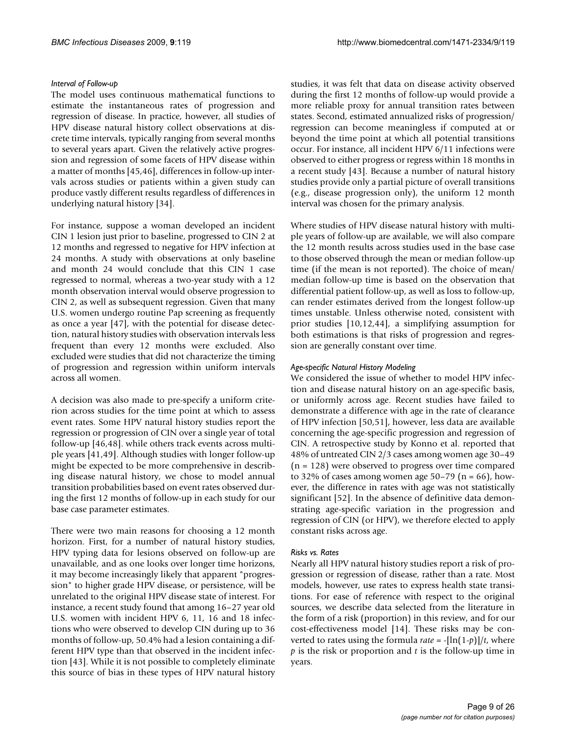#### *Interval of Follow-up*

The model uses continuous mathematical functions to estimate the instantaneous rates of progression and regression of disease. In practice, however, all studies of HPV disease natural history collect observations at discrete time intervals, typically ranging from several months to several years apart. Given the relatively active progression and regression of some facets of HPV disease within a matter of months [45,46], differences in follow-up intervals across studies or patients within a given study can produce vastly different results regardless of differences in underlying natural history [34].

For instance, suppose a woman developed an incident CIN 1 lesion just prior to baseline, progressed to CIN 2 at 12 months and regressed to negative for HPV infection at 24 months. A study with observations at only baseline and month 24 would conclude that this CIN 1 case regressed to normal, whereas a two-year study with a 12 month observation interval would observe progression to CIN 2, as well as subsequent regression. Given that many U.S. women undergo routine Pap screening as frequently as once a year [47], with the potential for disease detection, natural history studies with observation intervals less frequent than every 12 months were excluded. Also excluded were studies that did not characterize the timing of progression and regression within uniform intervals across all women.

A decision was also made to pre-specify a uniform criterion across studies for the time point at which to assess event rates. Some HPV natural history studies report the regression or progression of CIN over a single year of total follow-up [46,48]. while others track events across multiple years [41,49]. Although studies with longer follow-up might be expected to be more comprehensive in describing disease natural history, we chose to model annual transition probabilities based on event rates observed during the first 12 months of follow-up in each study for our base case parameter estimates.

There were two main reasons for choosing a 12 month horizon. First, for a number of natural history studies, HPV typing data for lesions observed on follow-up are unavailable, and as one looks over longer time horizons, it may become increasingly likely that apparent "progression" to higher grade HPV disease, or persistence, will be unrelated to the original HPV disease state of interest. For instance, a recent study found that among 16–27 year old U.S. women with incident HPV 6, 11, 16 and 18 infections who were observed to develop CIN during up to 36 months of follow-up, 50.4% had a lesion containing a different HPV type than that observed in the incident infection [43]. While it is not possible to completely eliminate this source of bias in these types of HPV natural history

studies, it was felt that data on disease activity observed during the first 12 months of follow-up would provide a more reliable proxy for annual transition rates between states. Second, estimated annualized risks of progression/ regression can become meaningless if computed at or beyond the time point at which all potential transitions occur. For instance, all incident HPV 6/11 infections were observed to either progress or regress within 18 months in a recent study [43]. Because a number of natural history studies provide only a partial picture of overall transitions (e.g., disease progression only), the uniform 12 month interval was chosen for the primary analysis.

Where studies of HPV disease natural history with multiple years of follow-up are available, we will also compare the 12 month results across studies used in the base case to those observed through the mean or median follow-up time (if the mean is not reported). The choice of mean/ median follow-up time is based on the observation that differential patient follow-up, as well as loss to follow-up, can render estimates derived from the longest follow-up times unstable. Unless otherwise noted, consistent with prior studies [10,12,44], a simplifying assumption for both estimations is that risks of progression and regression are generally constant over time.

#### *Age-specific Natural History Modeling*

We considered the issue of whether to model HPV infection and disease natural history on an age-specific basis, or uniformly across age. Recent studies have failed to demonstrate a difference with age in the rate of clearance of HPV infection [50,51], however, less data are available concerning the age-specific progression and regression of CIN. A retrospective study by Konno et al. reported that 48% of untreated CIN 2/3 cases among women age 30–49 (n = 128) were observed to progress over time compared to 32% of cases among women age 50–79 ( $n = 66$ ), however, the difference in rates with age was not statistically significant [52]. In the absence of definitive data demonstrating age-specific variation in the progression and regression of CIN (or HPV), we therefore elected to apply constant risks across age.

#### *Risks vs. Rates*

Nearly all HPV natural history studies report a risk of progression or regression of disease, rather than a rate. Most models, however, use rates to express health state transitions. For ease of reference with respect to the original sources, we describe data selected from the literature in the form of a risk (proportion) in this review, and for our cost-effectiveness model [14]. These risks may be converted to rates using the formula *rate* =  $-[\ln(1-p)]/t$ , where *p* is the risk or proportion and *t* is the follow-up time in years.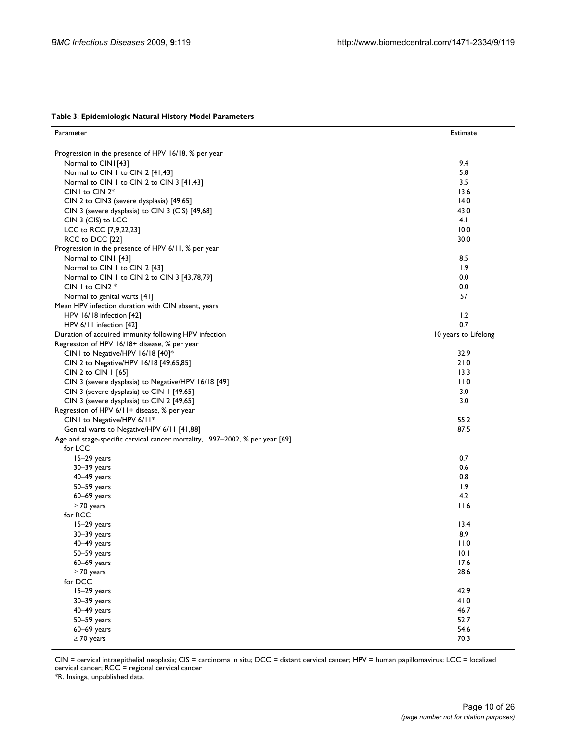| Parameter                                                                    | Estimate             |
|------------------------------------------------------------------------------|----------------------|
|                                                                              |                      |
| Progression in the presence of HPV 16/18, % per year                         |                      |
| Normal to CINI[43]                                                           | 9.4                  |
| Normal to CIN 1 to CIN 2 [41,43]                                             | 5.8                  |
| Normal to CIN 1 to CIN 2 to CIN 3 [41,43]                                    | 3.5                  |
| CIN1 to CIN 2*                                                               | 13.6                 |
| CIN 2 to CIN3 (severe dysplasia) [49,65]                                     | 14.0                 |
| CIN 3 (severe dysplasia) to CIN 3 (CIS) [49,68]                              | 43.0                 |
| CIN 3 (CIS) to LCC                                                           | 4.1                  |
| LCC to RCC [7,9,22,23]                                                       | 10.0                 |
| RCC to DCC [22]                                                              | 30.0                 |
| Progression in the presence of HPV 6/11, % per year                          |                      |
| Normal to CIN1 [43]                                                          | 8.5                  |
| Normal to CIN 1 to CIN 2 [43]                                                | 1.9                  |
| Normal to CIN 1 to CIN 2 to CIN 3 [43,78,79]                                 | 0.0                  |
| CIN 1 to CIN2 $*$                                                            | 0.0                  |
| Normal to genital warts [41]                                                 | 57                   |
| Mean HPV infection duration with CIN absent, years                           |                      |
| HPV 16/18 infection [42]                                                     | 1.2                  |
| HPV 6/11 infection [42]                                                      | 0.7                  |
| Duration of acquired immunity following HPV infection                        | 10 years to Lifelong |
| Regression of HPV 16/18+ disease, % per year                                 |                      |
| CIN1 to Negative/HPV 16/18 [40]*                                             | 32.9                 |
| CIN 2 to Negative/HPV 16/18 [49,65,85]                                       | 21.0                 |
| CIN 2 to CIN   [65]                                                          | 13.3                 |
| CIN 3 (severe dysplasia) to Negative/HPV 16/18 [49]                          | 11.0                 |
| CIN 3 (severe dysplasia) to CIN 1 [49,65]                                    | 3.0                  |
| CIN 3 (severe dysplasia) to CIN 2 [49,65]                                    | 3.0                  |
| Regression of HPV 6/11+ disease, % per year                                  |                      |
| CIN1 to Negative/HPV 6/11*                                                   | 55.2                 |
| Genital warts to Negative/HPV 6/11 [41,88]                                   | 87.5                 |
| Age and stage-specific cervical cancer mortality, 1997-2002, % per year [69] |                      |
| for LCC                                                                      |                      |
| 15-29 years                                                                  | 0.7                  |
| $30 - 39$ years                                                              | 0.6                  |
| 40-49 years                                                                  | 0.8                  |
| $50 - 59$ years                                                              | 1.9                  |
| $60-69$ years                                                                | 4.2                  |
| $\geq$ 70 years                                                              | 11.6                 |
| for RCC                                                                      |                      |
| 15-29 years                                                                  | 13.4                 |
| $30 - 39$ years                                                              | 8.9                  |
| 40-49 years                                                                  | 11.0                 |
| 50-59 years                                                                  | 10.1                 |
| 60-69 years                                                                  | 17.6                 |
| $\geq$ 70 years                                                              | 28.6                 |
| for DCC                                                                      |                      |
| 15-29 years                                                                  | 42.9                 |
| 30-39 years                                                                  | 41.0                 |
| 40-49 years                                                                  | 46.7                 |
| 50-59 years                                                                  | 52.7                 |
| $60-69$ years                                                                | 54.6                 |
| $\geq$ 70 years                                                              | 70.3                 |

CIN = cervical intraepithelial neoplasia; CIS = carcinoma in situ; DCC = distant cervical cancer; HPV = human papillomavirus; LCC = localized cervical cancer; RCC = regional cervical cancer

\*R. Insinga, unpublished data.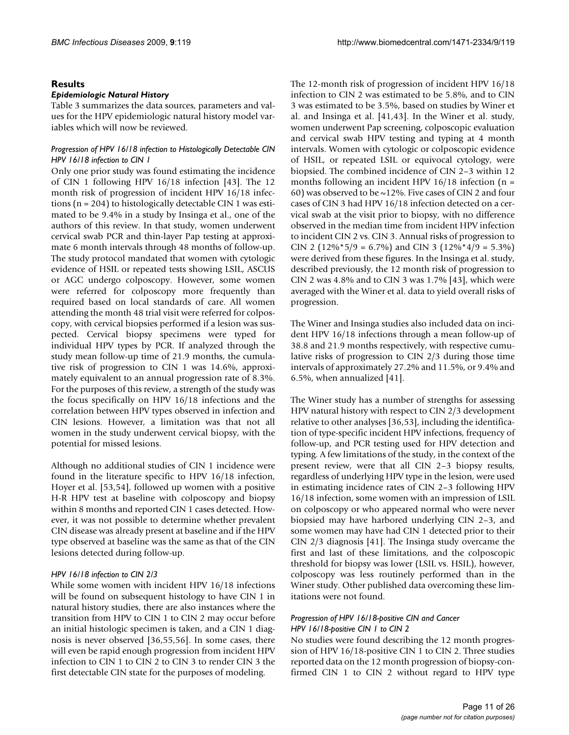#### **Results**

#### *Epidemiologic Natural History*

Table 3 summarizes the data sources, parameters and values for the HPV epidemiologic natural history model variables which will now be reviewed.

#### *Progression of HPV 16/18 infection to Histologically Detectable CIN HPV 16/18 infection to CIN 1*

Only one prior study was found estimating the incidence of CIN 1 following HPV 16/18 infection [43]. The 12 month risk of progression of incident HPV 16/18 infections (n = 204) to histologically detectable CIN 1 was estimated to be 9.4% in a study by Insinga et al., one of the authors of this review. In that study, women underwent cervical swab PCR and thin-layer Pap testing at approximate 6 month intervals through 48 months of follow-up. The study protocol mandated that women with cytologic evidence of HSIL or repeated tests showing LSIL, ASCUS or AGC undergo colposcopy. However, some women were referred for colposcopy more frequently than required based on local standards of care. All women attending the month 48 trial visit were referred for colposcopy, with cervical biopsies performed if a lesion was suspected. Cervical biopsy specimens were typed for individual HPV types by PCR. If analyzed through the study mean follow-up time of 21.9 months, the cumulative risk of progression to CIN 1 was 14.6%, approximately equivalent to an annual progression rate of 8.3%. For the purposes of this review, a strength of the study was the focus specifically on HPV 16/18 infections and the correlation between HPV types observed in infection and CIN lesions. However, a limitation was that not all women in the study underwent cervical biopsy, with the potential for missed lesions.

Although no additional studies of CIN 1 incidence were found in the literature specific to HPV 16/18 infection, Hoyer et al. [53,54], followed up women with a positive H-R HPV test at baseline with colposcopy and biopsy within 8 months and reported CIN 1 cases detected. However, it was not possible to determine whether prevalent CIN disease was already present at baseline and if the HPV type observed at baseline was the same as that of the CIN lesions detected during follow-up.

#### *HPV 16/18 infection to CIN 2/3*

While some women with incident HPV 16/18 infections will be found on subsequent histology to have CIN 1 in natural history studies, there are also instances where the transition from HPV to CIN 1 to CIN 2 may occur before an initial histologic specimen is taken, and a CIN 1 diagnosis is never observed [36,55,56]. In some cases, there will even be rapid enough progression from incident HPV infection to CIN 1 to CIN 2 to CIN 3 to render CIN 3 the first detectable CIN state for the purposes of modeling.

The 12-month risk of progression of incident HPV 16/18 infection to CIN 2 was estimated to be 5.8%, and to CIN 3 was estimated to be 3.5%, based on studies by Winer et al. and Insinga et al. [41,43]. In the Winer et al. study, women underwent Pap screening, colposcopic evaluation and cervical swab HPV testing and typing at 4 month intervals. Women with cytologic or colposcopic evidence of HSIL, or repeated LSIL or equivocal cytology, were biopsied. The combined incidence of CIN 2–3 within 12 months following an incident HPV  $16/18$  infection (n = 60) was observed to be ~12%. Five cases of CIN 2 and four cases of CIN 3 had HPV 16/18 infection detected on a cervical swab at the visit prior to biopsy, with no difference observed in the median time from incident HPV infection to incident CIN 2 vs. CIN 3. Annual risks of progression to CIN 2 ( $12\%$ \*5/9 = 6.7%) and CIN 3 ( $12\%$ \*4/9 = 5.3%) were derived from these figures. In the Insinga et al. study, described previously, the 12 month risk of progression to CIN 2 was 4.8% and to CIN 3 was 1.7% [43], which were averaged with the Winer et al. data to yield overall risks of progression.

The Winer and Insinga studies also included data on incident HPV 16/18 infections through a mean follow-up of 38.8 and 21.9 months respectively, with respective cumulative risks of progression to CIN 2/3 during those time intervals of approximately 27.2% and 11.5%, or 9.4% and 6.5%, when annualized [41].

The Winer study has a number of strengths for assessing HPV natural history with respect to CIN 2/3 development relative to other analyses [36,53], including the identification of type-specific incident HPV infections, frequency of follow-up, and PCR testing used for HPV detection and typing. A few limitations of the study, in the context of the present review, were that all CIN 2–3 biopsy results, regardless of underlying HPV type in the lesion, were used in estimating incidence rates of CIN 2–3 following HPV 16/18 infection, some women with an impression of LSIL on colposcopy or who appeared normal who were never biopsied may have harbored underlying CIN 2–3, and some women may have had CIN 1 detected prior to their CIN 2/3 diagnosis [41]. The Insinga study overcame the first and last of these limitations, and the colposcopic threshold for biopsy was lower (LSIL vs. HSIL), however, colposcopy was less routinely performed than in the Winer study. Other published data overcoming these limitations were not found.

#### *Progression of HPV 16/18-positive CIN and Cancer HPV 16/18-positive CIN 1 to CIN 2*

No studies were found describing the 12 month progression of HPV 16/18-positive CIN 1 to CIN 2. Three studies reported data on the 12 month progression of biopsy-confirmed CIN 1 to CIN 2 without regard to HPV type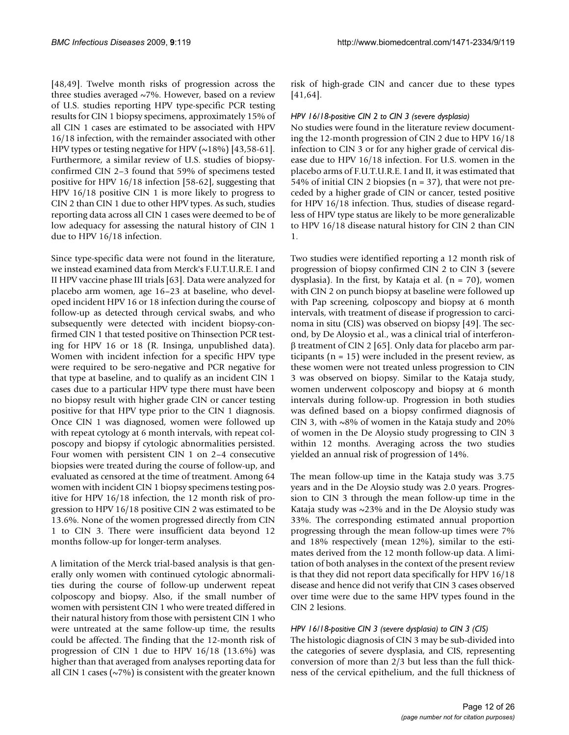[48,49]. Twelve month risks of progression across the three studies averaged  $\sim$ 7%. However, based on a review of U.S. studies reporting HPV type-specific PCR testing results for CIN 1 biopsy specimens, approximately 15% of all CIN 1 cases are estimated to be associated with HPV 16/18 infection, with the remainder associated with other HPV types or testing negative for HPV  $(\sim 18\%)$  [43,58-61]. Furthermore, a similar review of U.S. studies of biopsyconfirmed CIN 2–3 found that 59% of specimens tested positive for HPV 16/18 infection [58-62], suggesting that HPV 16/18 positive CIN 1 is more likely to progress to CIN 2 than CIN 1 due to other HPV types. As such, studies reporting data across all CIN 1 cases were deemed to be of low adequacy for assessing the natural history of CIN 1 due to HPV 16/18 infection.

Since type-specific data were not found in the literature, we instead examined data from Merck's F.U.T.U.R.E. I and II HPV vaccine phase III trials [63]. Data were analyzed for placebo arm women, age 16–23 at baseline, who developed incident HPV 16 or 18 infection during the course of follow-up as detected through cervical swabs, and who subsequently were detected with incident biopsy-confirmed CIN 1 that tested positive on Thinsection PCR testing for HPV 16 or 18 (R. Insinga, unpublished data). Women with incident infection for a specific HPV type were required to be sero-negative and PCR negative for that type at baseline, and to qualify as an incident CIN 1 cases due to a particular HPV type there must have been no biopsy result with higher grade CIN or cancer testing positive for that HPV type prior to the CIN 1 diagnosis. Once CIN 1 was diagnosed, women were followed up with repeat cytology at 6 month intervals, with repeat colposcopy and biopsy if cytologic abnormalities persisted. Four women with persistent CIN 1 on 2–4 consecutive biopsies were treated during the course of follow-up, and evaluated as censored at the time of treatment. Among 64 women with incident CIN 1 biopsy specimens testing positive for HPV 16/18 infection, the 12 month risk of progression to HPV 16/18 positive CIN 2 was estimated to be 13.6%. None of the women progressed directly from CIN 1 to CIN 3. There were insufficient data beyond 12 months follow-up for longer-term analyses.

A limitation of the Merck trial-based analysis is that generally only women with continued cytologic abnormalities during the course of follow-up underwent repeat colposcopy and biopsy. Also, if the small number of women with persistent CIN 1 who were treated differed in their natural history from those with persistent CIN 1 who were untreated at the same follow-up time, the results could be affected. The finding that the 12-month risk of progression of CIN 1 due to HPV 16/18 (13.6%) was higher than that averaged from analyses reporting data for all CIN 1 cases ( $\sim$ 7%) is consistent with the greater known

risk of high-grade CIN and cancer due to these types [41,64].

#### *HPV 16/18-positive CIN 2 to CIN 3 (severe dysplasia)*

No studies were found in the literature review documenting the 12-month progression of CIN 2 due to HPV 16/18 infection to CIN 3 or for any higher grade of cervical disease due to HPV 16/18 infection. For U.S. women in the placebo arms of F.U.T.U.R.E. I and II, it was estimated that 54% of initial CIN 2 biopsies ( $n = 37$ ), that were not preceded by a higher grade of CIN or cancer, tested positive for HPV 16/18 infection. Thus, studies of disease regardless of HPV type status are likely to be more generalizable to HPV 16/18 disease natural history for CIN 2 than CIN 1.

Two studies were identified reporting a 12 month risk of progression of biopsy confirmed CIN 2 to CIN 3 (severe dysplasia). In the first, by Kataja et al. (n = 70), women with CIN 2 on punch biopsy at baseline were followed up with Pap screening, colposcopy and biopsy at 6 month intervals, with treatment of disease if progression to carcinoma in situ (CIS) was observed on biopsy [49]. The second, by De Aloysio et al., was a clinical trial of interferonβ treatment of CIN 2 [65]. Only data for placebo arm participants ( $n = 15$ ) were included in the present review, as these women were not treated unless progression to CIN 3 was observed on biopsy. Similar to the Kataja study, women underwent colposcopy and biopsy at 6 month intervals during follow-up. Progression in both studies was defined based on a biopsy confirmed diagnosis of CIN 3, with  $\sim8\%$  of women in the Kataja study and 20% of women in the De Aloysio study progressing to CIN 3 within 12 months. Averaging across the two studies yielded an annual risk of progression of 14%.

The mean follow-up time in the Kataja study was 3.75 years and in the De Aloysio study was 2.0 years. Progression to CIN 3 through the mean follow-up time in the Kataja study was  $\sim$ 23% and in the De Aloysio study was 33%. The corresponding estimated annual proportion progressing through the mean follow-up times were 7% and 18% respectively (mean 12%), similar to the estimates derived from the 12 month follow-up data. A limitation of both analyses in the context of the present review is that they did not report data specifically for HPV 16/18 disease and hence did not verify that CIN 3 cases observed over time were due to the same HPV types found in the CIN 2 lesions.

#### *HPV 16/18-positive CIN 3 (severe dysplasia) to CIN 3 (CIS)*

The histologic diagnosis of CIN 3 may be sub-divided into the categories of severe dysplasia, and CIS, representing conversion of more than 2/3 but less than the full thickness of the cervical epithelium, and the full thickness of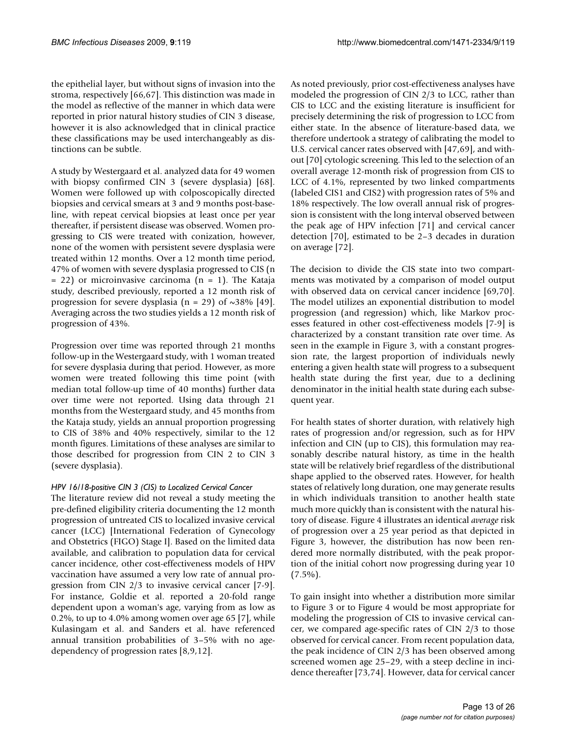the epithelial layer, but without signs of invasion into the stroma, respectively [66,67]. This distinction was made in the model as reflective of the manner in which data were reported in prior natural history studies of CIN 3 disease, however it is also acknowledged that in clinical practice these classifications may be used interchangeably as distinctions can be subtle.

A study by Westergaard et al. analyzed data for 49 women with biopsy confirmed CIN 3 (severe dysplasia) [68]. Women were followed up with colposcopically directed biopsies and cervical smears at 3 and 9 months post-baseline, with repeat cervical biopsies at least once per year thereafter, if persistent disease was observed. Women progressing to CIS were treated with conization, however, none of the women with persistent severe dysplasia were treated within 12 months. Over a 12 month time period, 47% of women with severe dysplasia progressed to CIS (n  $= 22$ ) or microinvasive carcinoma (n  $= 1$ ). The Kataja study, described previously, reported a 12 month risk of progression for severe dysplasia (n = 29) of  $\sim$ 38% [49]. Averaging across the two studies yields a 12 month risk of progression of 43%.

Progression over time was reported through 21 months follow-up in the Westergaard study, with 1 woman treated for severe dysplasia during that period. However, as more women were treated following this time point (with median total follow-up time of 40 months) further data over time were not reported. Using data through 21 months from the Westergaard study, and 45 months from the Kataja study, yields an annual proportion progressing to CIS of 38% and 40% respectively, similar to the 12 month figures. Limitations of these analyses are similar to those described for progression from CIN 2 to CIN 3 (severe dysplasia).

#### *HPV 16/18-positive CIN 3 (CIS) to Localized Cervical Cancer*

The literature review did not reveal a study meeting the pre-defined eligibility criteria documenting the 12 month progression of untreated CIS to localized invasive cervical cancer (LCC) [International Federation of Gynecology and Obstetrics (FIGO) Stage I]. Based on the limited data available, and calibration to population data for cervical cancer incidence, other cost-effectiveness models of HPV vaccination have assumed a very low rate of annual progression from CIN 2/3 to invasive cervical cancer [7-9]. For instance, Goldie et al. reported a 20-fold range dependent upon a woman's age, varying from as low as 0.2%, to up to 4.0% among women over age 65 [7], while Kulasingam et al. and Sanders et al. have referenced annual transition probabilities of 3–5% with no agedependency of progression rates [8,9,12].

As noted previously, prior cost-effectiveness analyses have modeled the progression of CIN 2/3 to LCC, rather than CIS to LCC and the existing literature is insufficient for precisely determining the risk of progression to LCC from either state. In the absence of literature-based data, we therefore undertook a strategy of calibrating the model to U.S. cervical cancer rates observed with [47,69], and without [70] cytologic screening. This led to the selection of an overall average 12-month risk of progression from CIS to LCC of 4.1%, represented by two linked compartments (labeled CIS1 and CIS2) with progression rates of 5% and 18% respectively. The low overall annual risk of progression is consistent with the long interval observed between the peak age of HPV infection [71] and cervical cancer detection [70], estimated to be 2–3 decades in duration on average [72].

The decision to divide the CIS state into two compartments was motivated by a comparison of model output with observed data on cervical cancer incidence [69,70]. The model utilizes an exponential distribution to model progression (and regression) which, like Markov processes featured in other cost-effectiveness models [7-9] is characterized by a constant transition rate over time. As seen in the example in Figure 3, with a constant progression rate, the largest proportion of individuals newly entering a given health state will progress to a subsequent health state during the first year, due to a declining denominator in the initial health state during each subsequent year.

For health states of shorter duration, with relatively high rates of progression and/or regression, such as for HPV infection and CIN (up to CIS), this formulation may reasonably describe natural history, as time in the health state will be relatively brief regardless of the distributional shape applied to the observed rates. However, for health states of relatively long duration, one may generate results in which individuals transition to another health state much more quickly than is consistent with the natural history of disease. Figure 4 illustrates an identical *average* risk of progression over a 25 year period as that depicted in Figure 3, however, the distribution has now been rendered more normally distributed, with the peak proportion of the initial cohort now progressing during year 10  $(7.5\%)$ .

To gain insight into whether a distribution more similar to Figure 3 or to Figure 4 would be most appropriate for modeling the progression of CIS to invasive cervical cancer, we compared age-specific rates of CIN 2/3 to those observed for cervical cancer. From recent population data, the peak incidence of CIN 2/3 has been observed among screened women age 25–29, with a steep decline in incidence thereafter [73,74]. However, data for cervical cancer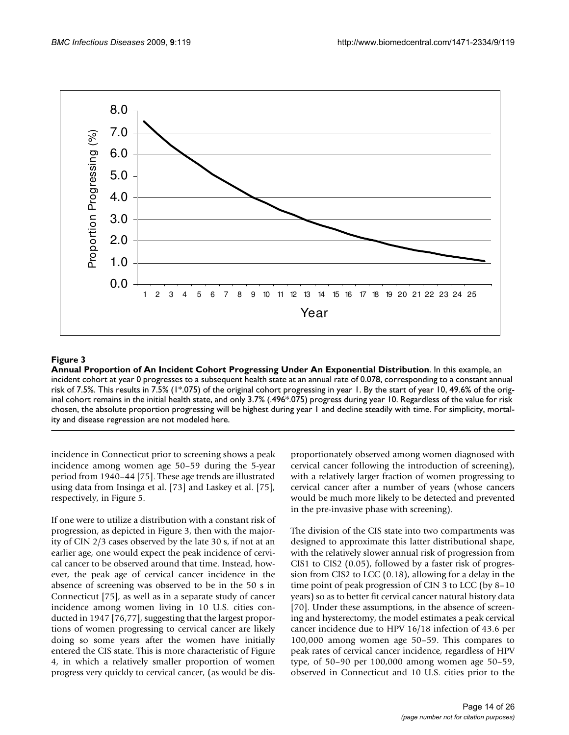

#### Annual Proportion of An Incident Cohort Pr **Figure 3** ogressing Under An Exponential Distribution

**Annual Proportion of An Incident Cohort Progressing Under An Exponential Distribution**. In this example, an incident cohort at year 0 progresses to a subsequent health state at an annual rate of 0.078, corresponding to a constant annual risk of 7.5%. This results in 7.5% (1\*.075) of the original cohort progressing in year 1. By the start of year 10, 49.6% of the original cohort remains in the initial health state, and only 3.7% (.496\*.075) progress during year 10. Regardless of the value for risk chosen, the absolute proportion progressing will be highest during year 1 and decline steadily with time. For simplicity, mortality and disease regression are not modeled here.

incidence in Connecticut prior to screening shows a peak incidence among women age 50–59 during the 5-year period from 1940–44 [75]. These age trends are illustrated using data from Insinga et al. [73] and Laskey et al. [75], respectively, in Figure 5.

If one were to utilize a distribution with a constant risk of progression, as depicted in Figure 3, then with the majority of CIN 2/3 cases observed by the late 30 s, if not at an earlier age, one would expect the peak incidence of cervical cancer to be observed around that time. Instead, however, the peak age of cervical cancer incidence in the absence of screening was observed to be in the 50 s in Connecticut [75], as well as in a separate study of cancer incidence among women living in 10 U.S. cities conducted in 1947 [76,77], suggesting that the largest proportions of women progressing to cervical cancer are likely doing so some years after the women have initially entered the CIS state. This is more characteristic of Figure 4, in which a relatively smaller proportion of women progress very quickly to cervical cancer, (as would be disproportionately observed among women diagnosed with cervical cancer following the introduction of screening), with a relatively larger fraction of women progressing to cervical cancer after a number of years (whose cancers would be much more likely to be detected and prevented in the pre-invasive phase with screening).

The division of the CIS state into two compartments was designed to approximate this latter distributional shape, with the relatively slower annual risk of progression from CIS1 to CIS2 (0.05), followed by a faster risk of progression from CIS2 to LCC (0.18), allowing for a delay in the time point of peak progression of CIN 3 to LCC (by 8–10 years) so as to better fit cervical cancer natural history data [70]. Under these assumptions, in the absence of screening and hysterectomy, the model estimates a peak cervical cancer incidence due to HPV 16/18 infection of 43.6 per 100,000 among women age 50–59. This compares to peak rates of cervical cancer incidence, regardless of HPV type, of 50–90 per 100,000 among women age 50–59, observed in Connecticut and 10 U.S. cities prior to the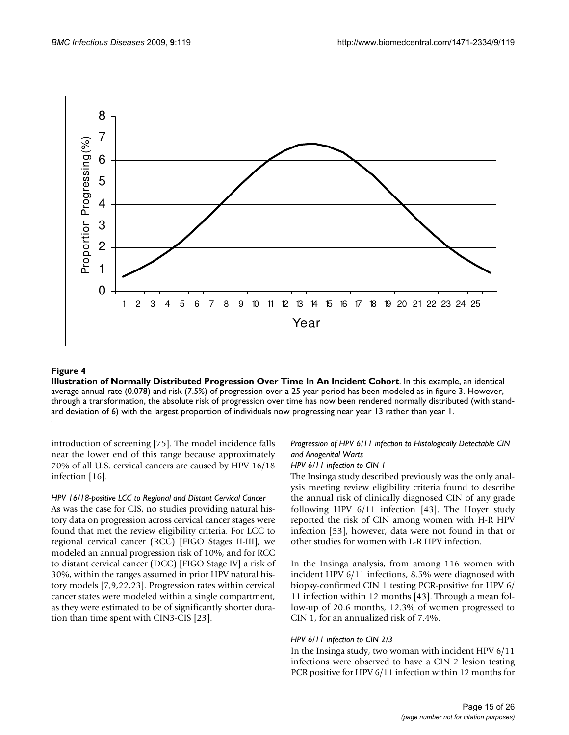

# Illustration of Normally Distributed Prog **Figure 4** ression Over Time In An Incident Cohort

**Illustration of Normally Distributed Progression Over Time In An Incident Cohort**. In this example, an identical average annual rate (0.078) and risk (7.5%) of progression over a 25 year period has been modeled as in figure 3. However, through a transformation, the absolute risk of progression over time has now been rendered normally distributed (with standard deviation of 6) with the largest proportion of individuals now progressing near year 13 rather than year 1.

introduction of screening [75]. The model incidence falls near the lower end of this range because approximately 70% of all U.S. cervical cancers are caused by HPV 16/18 infection [16].

#### *HPV 16/18-positive LCC to Regional and Distant Cervical Cancer*

As was the case for CIS, no studies providing natural history data on progression across cervical cancer stages were found that met the review eligibility criteria. For LCC to regional cervical cancer (RCC) [FIGO Stages II-III], we modeled an annual progression risk of 10%, and for RCC to distant cervical cancer (DCC) [FIGO Stage IV] a risk of 30%, within the ranges assumed in prior HPV natural history models [7,9,22,23]. Progression rates within cervical cancer states were modeled within a single compartment, as they were estimated to be of significantly shorter duration than time spent with CIN3-CIS [23].

# *Progression of HPV 6/11 infection to Histologically Detectable CIN and Anogenital Warts*

#### *HPV 6/11 infection to CIN 1*

The Insinga study described previously was the only analysis meeting review eligibility criteria found to describe the annual risk of clinically diagnosed CIN of any grade following HPV 6/11 infection [43]. The Hoyer study reported the risk of CIN among women with H-R HPV infection [53], however, data were not found in that or other studies for women with L-R HPV infection.

In the Insinga analysis, from among 116 women with incident HPV 6/11 infections, 8.5% were diagnosed with biopsy-confirmed CIN 1 testing PCR-positive for HPV 6/ 11 infection within 12 months [43]. Through a mean follow-up of 20.6 months, 12.3% of women progressed to CIN 1, for an annualized risk of 7.4%.

#### *HPV 6/11 infection to CIN 2/3*

In the Insinga study, two woman with incident HPV 6/11 infections were observed to have a CIN 2 lesion testing PCR positive for HPV 6/11 infection within 12 months for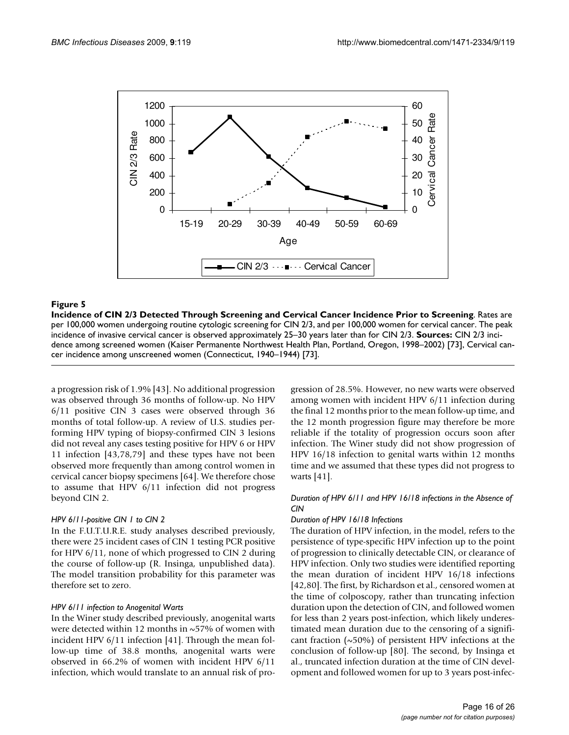

#### Incidence of CIN 2/3 Detected Through Screening an **Figure 5** d Cervical Cancer Incidence Prior to Screening

**Incidence of CIN 2/3 Detected Through Screening and Cervical Cancer Incidence Prior to Screening**. Rates are per 100,000 women undergoing routine cytologic screening for CIN 2/3, and per 100,000 women for cervical cancer. The peak incidence of invasive cervical cancer is observed approximately 25–30 years later than for CIN 2/3. **Sources:** CIN 2/3 incidence among screened women (Kaiser Permanente Northwest Health Plan, Portland, Oregon, 1998–2002) [73], Cervical cancer incidence among unscreened women (Connecticut, 1940–1944) [73].

a progression risk of 1.9% [43]. No additional progression was observed through 36 months of follow-up. No HPV 6/11 positive CIN 3 cases were observed through 36 months of total follow-up. A review of U.S. studies performing HPV typing of biopsy-confirmed CIN 3 lesions did not reveal any cases testing positive for HPV 6 or HPV 11 infection [43,78,79] and these types have not been observed more frequently than among control women in cervical cancer biopsy specimens [64]. We therefore chose to assume that HPV 6/11 infection did not progress beyond CIN 2.

#### *HPV 6/11-positive CIN 1 to CIN 2*

In the F.U.T.U.R.E. study analyses described previously, there were 25 incident cases of CIN 1 testing PCR positive for HPV 6/11, none of which progressed to CIN 2 during the course of follow-up (R. Insinga, unpublished data). The model transition probability for this parameter was therefore set to zero.

#### *HPV 6/11 infection to Anogenital Warts*

In the Winer study described previously, anogenital warts were detected within 12 months in ~57% of women with incident HPV 6/11 infection [41]. Through the mean follow-up time of 38.8 months, anogenital warts were observed in 66.2% of women with incident HPV 6/11 infection, which would translate to an annual risk of progression of 28.5%. However, no new warts were observed among women with incident HPV 6/11 infection during the final 12 months prior to the mean follow-up time, and the 12 month progression figure may therefore be more reliable if the totality of progression occurs soon after infection. The Winer study did not show progression of HPV 16/18 infection to genital warts within 12 months time and we assumed that these types did not progress to warts [41].

#### *Duration of HPV 6/11 and HPV 16/18 infections in the Absence of CIN*

#### *Duration of HPV 16/18 Infections*

The duration of HPV infection, in the model, refers to the persistence of type-specific HPV infection up to the point of progression to clinically detectable CIN, or clearance of HPV infection. Only two studies were identified reporting the mean duration of incident HPV 16/18 infections [42,80]. The first, by Richardson et al., censored women at the time of colposcopy, rather than truncating infection duration upon the detection of CIN, and followed women for less than 2 years post-infection, which likely underestimated mean duration due to the censoring of a significant fraction  $(\sim 50\%)$  of persistent HPV infections at the conclusion of follow-up [80]. The second, by Insinga et al., truncated infection duration at the time of CIN development and followed women for up to 3 years post-infec-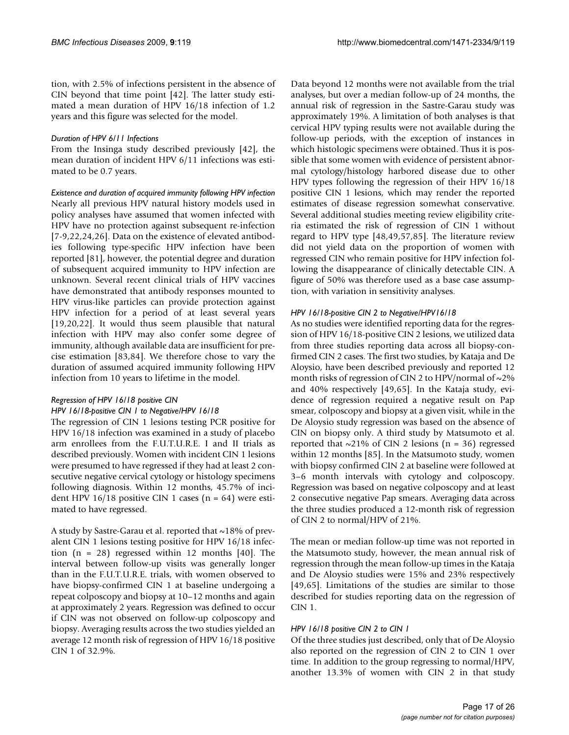tion, with 2.5% of infections persistent in the absence of CIN beyond that time point [42]. The latter study estimated a mean duration of HPV 16/18 infection of 1.2 years and this figure was selected for the model.

#### *Duration of HPV 6/11 Infections*

From the Insinga study described previously [42], the mean duration of incident HPV 6/11 infections was estimated to be 0.7 years.

*Existence and duration of acquired immunity following HPV infection* Nearly all previous HPV natural history models used in policy analyses have assumed that women infected with HPV have no protection against subsequent re-infection [7-9,22,24,26]. Data on the existence of elevated antibodies following type-specific HPV infection have been reported [81], however, the potential degree and duration of subsequent acquired immunity to HPV infection are unknown. Several recent clinical trials of HPV vaccines have demonstrated that antibody responses mounted to HPV virus-like particles can provide protection against HPV infection for a period of at least several years [19,20,22]. It would thus seem plausible that natural infection with HPV may also confer some degree of immunity, although available data are insufficient for precise estimation [83,84]. We therefore chose to vary the duration of assumed acquired immunity following HPV infection from 10 years to lifetime in the model.

# *Regression of HPV 16/18 positive CIN*

#### *HPV 16/18-positive CIN 1 to Negative/HPV 16/18*

The regression of CIN 1 lesions testing PCR positive for HPV 16/18 infection was examined in a study of placebo arm enrollees from the F.U.T.U.R.E. I and II trials as described previously. Women with incident CIN 1 lesions were presumed to have regressed if they had at least 2 consecutive negative cervical cytology or histology specimens following diagnosis. Within 12 months, 45.7% of incident HPV 16/18 positive CIN 1 cases  $(n = 64)$  were estimated to have regressed.

A study by Sastre-Garau et al. reported that ~18% of prevalent CIN 1 lesions testing positive for HPV 16/18 infection  $(n = 28)$  regressed within 12 months [40]. The interval between follow-up visits was generally longer than in the F.U.T.U.R.E. trials, with women observed to have biopsy-confirmed CIN 1 at baseline undergoing a repeat colposcopy and biopsy at 10–12 months and again at approximately 2 years. Regression was defined to occur if CIN was not observed on follow-up colposcopy and biopsy. Averaging results across the two studies yielded an average 12 month risk of regression of HPV 16/18 positive CIN 1 of 32.9%.

Data beyond 12 months were not available from the trial analyses, but over a median follow-up of 24 months, the annual risk of regression in the Sastre-Garau study was approximately 19%. A limitation of both analyses is that cervical HPV typing results were not available during the follow-up periods, with the exception of instances in which histologic specimens were obtained. Thus it is possible that some women with evidence of persistent abnormal cytology/histology harbored disease due to other HPV types following the regression of their HPV 16/18 positive CIN 1 lesions, which may render the reported estimates of disease regression somewhat conservative. Several additional studies meeting review eligibility criteria estimated the risk of regression of CIN 1 without regard to HPV type [48,49,57,85]. The literature review did not yield data on the proportion of women with regressed CIN who remain positive for HPV infection following the disappearance of clinically detectable CIN. A figure of 50% was therefore used as a base case assumption, with variation in sensitivity analyses.

#### *HPV 16/18-positive CIN 2 to Negative/HPV16/18*

As no studies were identified reporting data for the regression of HPV 16/18-positive CIN 2 lesions, we utilized data from three studies reporting data across all biopsy-confirmed CIN 2 cases. The first two studies, by Kataja and De Aloysio, have been described previously and reported 12 month risks of regression of CIN 2 to HPV/normal of  $\sim$ 2% and 40% respectively [49,65]. In the Kataja study, evidence of regression required a negative result on Pap smear, colposcopy and biopsy at a given visit, while in the De Aloysio study regression was based on the absence of CIN on biopsy only. A third study by Matsumoto et al. reported that  $\sim$ 21% of CIN 2 lesions (n = 36) regressed within 12 months [85]. In the Matsumoto study, women with biopsy confirmed CIN 2 at baseline were followed at 3–6 month intervals with cytology and colposcopy. Regression was based on negative colposcopy and at least 2 consecutive negative Pap smears. Averaging data across the three studies produced a 12-month risk of regression of CIN 2 to normal/HPV of 21%.

The mean or median follow-up time was not reported in the Matsumoto study, however, the mean annual risk of regression through the mean follow-up times in the Kataja and De Aloysio studies were 15% and 23% respectively [49,65]. Limitations of the studies are similar to those described for studies reporting data on the regression of CIN 1.

#### *HPV 16/18 positive CIN 2 to CIN 1*

Of the three studies just described, only that of De Aloysio also reported on the regression of CIN 2 to CIN 1 over time. In addition to the group regressing to normal/HPV, another 13.3% of women with CIN 2 in that study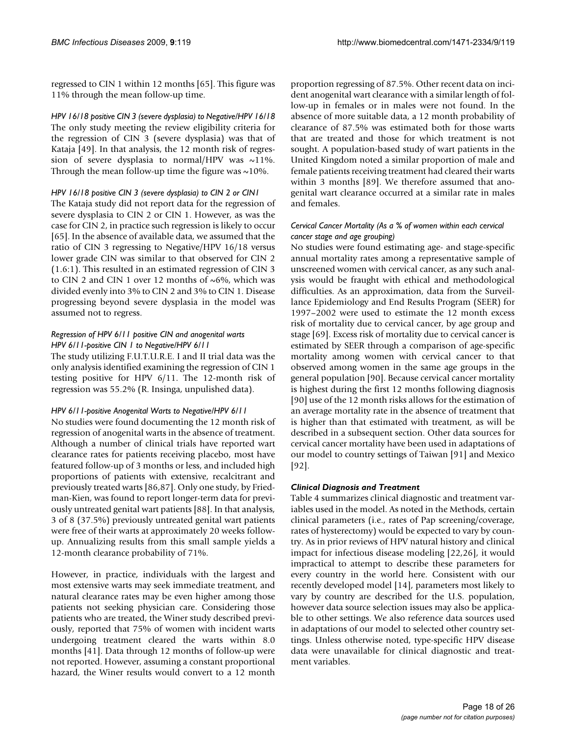regressed to CIN 1 within 12 months [65]. This figure was 11% through the mean follow-up time.

*HPV 16/18 positive CIN 3 (severe dysplasia) to Negative/HPV 16/18* The only study meeting the review eligibility criteria for the regression of CIN 3 (severe dysplasia) was that of Kataja [49]. In that analysis, the 12 month risk of regression of severe dysplasia to normal/HPV was  $\sim$ 11%. Through the mean follow-up time the figure was  $\sim$ 10%.

#### *HPV 16/18 positive CIN 3 (severe dysplasia) to CIN 2 or CIN1*

The Kataja study did not report data for the regression of severe dysplasia to CIN 2 or CIN 1. However, as was the case for CIN 2, in practice such regression is likely to occur [65]. In the absence of available data, we assumed that the ratio of CIN 3 regressing to Negative/HPV 16/18 versus lower grade CIN was similar to that observed for CIN 2 (1.6:1). This resulted in an estimated regression of CIN 3 to CIN 2 and CIN 1 over 12 months of  $\sim 6\%$ , which was divided evenly into 3% to CIN 2 and 3% to CIN 1. Disease progressing beyond severe dysplasia in the model was assumed not to regress.

#### *Regression of HPV 6/11 positive CIN and anogenital warts HPV 6/11-positive CIN 1 to Negative/HPV 6/11*

The study utilizing F.U.T.U.R.E. I and II trial data was the only analysis identified examining the regression of CIN 1 testing positive for HPV 6/11. The 12-month risk of regression was 55.2% (R. Insinga, unpulished data).

#### *HPV 6/11-positive Anogenital Warts to Negative/HPV 6/11*

No studies were found documenting the 12 month risk of regression of anogenital warts in the absence of treatment. Although a number of clinical trials have reported wart clearance rates for patients receiving placebo, most have featured follow-up of 3 months or less, and included high proportions of patients with extensive, recalcitrant and previously treated warts [86,87]. Only one study, by Friedman-Kien, was found to report longer-term data for previously untreated genital wart patients [88]. In that analysis, 3 of 8 (37.5%) previously untreated genital wart patients were free of their warts at approximately 20 weeks followup. Annualizing results from this small sample yields a 12-month clearance probability of 71%.

However, in practice, individuals with the largest and most extensive warts may seek immediate treatment, and natural clearance rates may be even higher among those patients not seeking physician care. Considering those patients who are treated, the Winer study described previously, reported that 75% of women with incident warts undergoing treatment cleared the warts within 8.0 months [41]. Data through 12 months of follow-up were not reported. However, assuming a constant proportional hazard, the Winer results would convert to a 12 month

proportion regressing of 87.5%. Other recent data on incident anogenital wart clearance with a similar length of follow-up in females or in males were not found. In the absence of more suitable data, a 12 month probability of clearance of 87.5% was estimated both for those warts that are treated and those for which treatment is not sought. A population-based study of wart patients in the United Kingdom noted a similar proportion of male and female patients receiving treatment had cleared their warts within 3 months [89]. We therefore assumed that anogenital wart clearance occurred at a similar rate in males and females.

#### *Cervical Cancer Mortality (As a % of women within each cervical cancer stage and age grouping)*

No studies were found estimating age- and stage-specific annual mortality rates among a representative sample of unscreened women with cervical cancer, as any such analysis would be fraught with ethical and methodological difficulties. As an approximation, data from the Surveillance Epidemiology and End Results Program (SEER) for 1997–2002 were used to estimate the 12 month excess risk of mortality due to cervical cancer, by age group and stage [69]. Excess risk of mortality due to cervical cancer is estimated by SEER through a comparison of age-specific mortality among women with cervical cancer to that observed among women in the same age groups in the general population [90]. Because cervical cancer mortality is highest during the first 12 months following diagnosis [90] use of the 12 month risks allows for the estimation of an average mortality rate in the absence of treatment that is higher than that estimated with treatment, as will be described in a subsequent section. Other data sources for cervical cancer mortality have been used in adaptations of our model to country settings of Taiwan [91] and Mexico [92].

#### *Clinical Diagnosis and Treatment*

Table 4 summarizes clinical diagnostic and treatment variables used in the model. As noted in the Methods, certain clinical parameters (i.e., rates of Pap screening/coverage, rates of hysterectomy) would be expected to vary by country. As in prior reviews of HPV natural history and clinical impact for infectious disease modeling [22,26], it would impractical to attempt to describe these parameters for every country in the world here. Consistent with our recently developed model [14], parameters most likely to vary by country are described for the U.S. population, however data source selection issues may also be applicable to other settings. We also reference data sources used in adaptations of our model to selected other country settings. Unless otherwise noted, type-specific HPV disease data were unavailable for clinical diagnostic and treatment variables.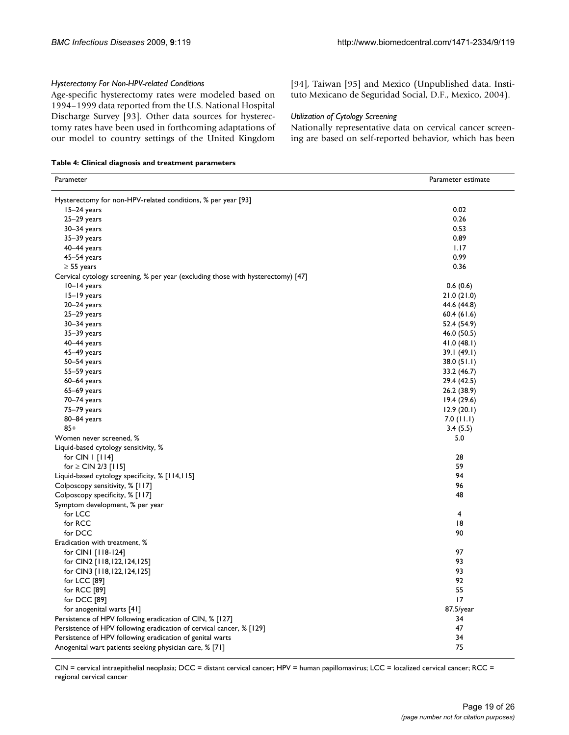#### *Hysterectomy For Non-HPV-related Conditions*

Age-specific hysterectomy rates were modeled based on 1994–1999 data reported from the U.S. National Hospital Discharge Survey [93]. Other data sources for hysterectomy rates have been used in forthcoming adaptations of our model to country settings of the United Kingdom

**Table 4: Clinical diagnosis and treatment parameters**

| Parameter                                                                        | Parameter estimate |
|----------------------------------------------------------------------------------|--------------------|
| Hysterectomy for non-HPV-related conditions, % per year [93]                     |                    |
| $15-24$ years                                                                    | 0.02               |
| $25-29$ years                                                                    | 0.26               |
| 30-34 years                                                                      | 0.53               |
| $35-39$ years                                                                    | 0.89               |
| $40-44$ years                                                                    | 1.17               |
| $45-54$ years                                                                    | 0.99               |
| $\geq$ 55 years                                                                  | 0.36               |
| Cervical cytology screening, % per year (excluding those with hysterectomy) [47] |                    |
| 10-14 years                                                                      | 0.6(0.6)           |
| 15-19 years                                                                      | 21.0(21.0)         |
| $20 - 24$ years                                                                  | 44.6 (44.8)        |
| $25-29$ years                                                                    | 60.4(61.6)         |
| 30-34 years                                                                      | 52.4 (54.9)        |
| $35-39$ years                                                                    | 46.0 (50.5)        |
| 40-44 years                                                                      | 41.0(48.1)         |
| $45-49$ years                                                                    | 39.1(49.1)         |
| 50-54 years                                                                      | 38.0 (51.1)        |
| $55 - 59$ years                                                                  | 33.2 (46.7)        |
| $60-64$ years                                                                    | 29.4 (42.5)        |
| $65-69$ years                                                                    | 26.2 (38.9)        |
| 70-74 years                                                                      | 19.4(29.6)         |
| 75-79 years                                                                      | 12.9(20.1)         |
| 80-84 years                                                                      | $7.0$ (11.1)       |
| $85+$                                                                            | 3.4(5.5)           |
| Women never screened, %                                                          | 5.0                |
| Liquid-based cytology sensitivity, %                                             |                    |
| for $CIN$   $[114]$                                                              | 28                 |
| for $\geq$ CIN 2/3 [115]                                                         | 59                 |
| Liquid-based cytology specificity, % [114,115]                                   | 94                 |
| Colposcopy sensitivity, % [117]                                                  | 96                 |
| Colposcopy specificity, % [117]                                                  | 48                 |
| Symptom development, % per year                                                  |                    |
| for LCC                                                                          | 4                  |
| for RCC                                                                          | 18                 |
| for DCC                                                                          | 90                 |
| Eradication with treatment, %                                                    |                    |
| for CINI [118-124]                                                               | 97                 |
| for CIN2 [118,122,124,125]                                                       | 93                 |
| for CIN3 [118,122,124,125]                                                       | 93                 |
| for LCC [89]                                                                     | 92                 |
| for RCC [89]                                                                     | 55                 |
| for DCC [89]                                                                     | 17                 |
| for anogenital warts [41]                                                        | $87.5$ /year       |
| Persistence of HPV following eradication of CIN, % [127]                         | 34                 |
| Persistence of HPV following eradication of cervical cancer, % [129]             | 47                 |
| Persistence of HPV following eradication of genital warts                        | 34                 |
| Anogenital wart patients seeking physician care, % [71]                          | 75                 |

CIN = cervical intraepithelial neoplasia; DCC = distant cervical cancer; HPV = human papillomavirus; LCC = localized cervical cancer; RCC = regional cervical cancer

[94], Taiwan [95] and Mexico (Unpublished data. Instituto Mexicano de Seguridad Social, D.F., Mexico, 2004).

#### *Utilization of Cytology Screening*

Nationally representative data on cervical cancer screening are based on self-reported behavior, which has been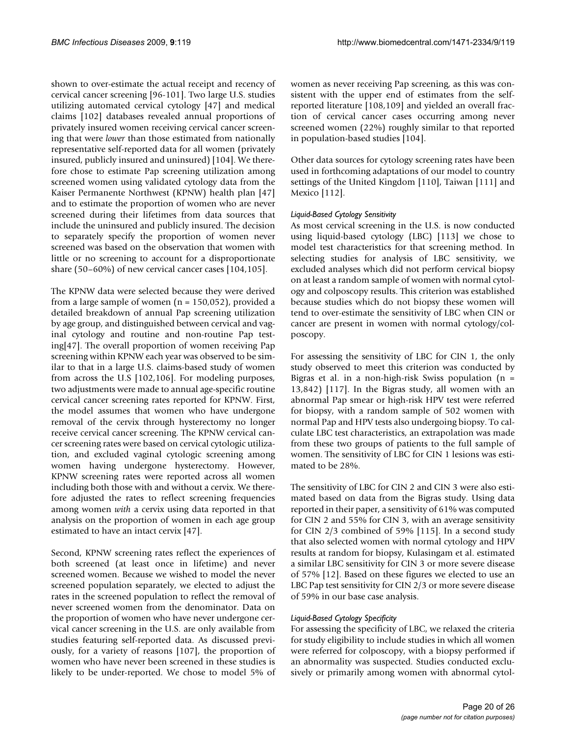shown to over-estimate the actual receipt and recency of cervical cancer screening [96-101]. Two large U.S. studies utilizing automated cervical cytology [47] and medical claims [102] databases revealed annual proportions of privately insured women receiving cervical cancer screening that were *lower* than those estimated from nationally representative self-reported data for all women (privately insured, publicly insured and uninsured) [104]. We therefore chose to estimate Pap screening utilization among screened women using validated cytology data from the Kaiser Permanente Northwest (KPNW) health plan [47] and to estimate the proportion of women who are never screened during their lifetimes from data sources that include the uninsured and publicly insured. The decision to separately specify the proportion of women never screened was based on the observation that women with little or no screening to account for a disproportionate share (50–60%) of new cervical cancer cases [104,105].

The KPNW data were selected because they were derived from a large sample of women  $(n = 150,052)$ , provided a detailed breakdown of annual Pap screening utilization by age group, and distinguished between cervical and vaginal cytology and routine and non-routine Pap testing[47]. The overall proportion of women receiving Pap screening within KPNW each year was observed to be similar to that in a large U.S. claims-based study of women from across the U.S [102,106]. For modeling purposes, two adjustments were made to annual age-specific routine cervical cancer screening rates reported for KPNW. First, the model assumes that women who have undergone removal of the cervix through hysterectomy no longer receive cervical cancer screening. The KPNW cervical cancer screening rates were based on cervical cytologic utilization, and excluded vaginal cytologic screening among women having undergone hysterectomy. However, KPNW screening rates were reported across all women including both those with and without a cervix. We therefore adjusted the rates to reflect screening frequencies among women *with* a cervix using data reported in that analysis on the proportion of women in each age group estimated to have an intact cervix [47].

Second, KPNW screening rates reflect the experiences of both screened (at least once in lifetime) and never screened women. Because we wished to model the never screened population separately, we elected to adjust the rates in the screened population to reflect the removal of never screened women from the denominator. Data on the proportion of women who have never undergone cervical cancer screening in the U.S. are only available from studies featuring self-reported data. As discussed previously, for a variety of reasons [107], the proportion of women who have never been screened in these studies is likely to be under-reported. We chose to model 5% of women as never receiving Pap screening, as this was consistent with the upper end of estimates from the selfreported literature [108,109] and yielded an overall fraction of cervical cancer cases occurring among never screened women (22%) roughly similar to that reported in population-based studies [104].

Other data sources for cytology screening rates have been used in forthcoming adaptations of our model to country settings of the United Kingdom [110], Taiwan [111] and Mexico [112].

## *Liquid-Based Cytology Sensitivity*

As most cervical screening in the U.S. is now conducted using liquid-based cytology (LBC) [113] we chose to model test characteristics for that screening method. In selecting studies for analysis of LBC sensitivity, we excluded analyses which did not perform cervical biopsy on at least a random sample of women with normal cytology and colposcopy results. This criterion was established because studies which do not biopsy these women will tend to over-estimate the sensitivity of LBC when CIN or cancer are present in women with normal cytology/colposcopy.

For assessing the sensitivity of LBC for CIN 1, the only study observed to meet this criterion was conducted by Bigras et al. in a non-high-risk Swiss population  $(n =$ 13,842) [117]. In the Bigras study, all women with an abnormal Pap smear or high-risk HPV test were referred for biopsy, with a random sample of 502 women with normal Pap and HPV tests also undergoing biopsy. To calculate LBC test characteristics, an extrapolation was made from these two groups of patients to the full sample of women. The sensitivity of LBC for CIN 1 lesions was estimated to be 28%.

The sensitivity of LBC for CIN 2 and CIN 3 were also estimated based on data from the Bigras study. Using data reported in their paper, a sensitivity of 61% was computed for CIN 2 and 55% for CIN 3, with an average sensitivity for CIN 2/3 combined of 59% [115]. In a second study that also selected women with normal cytology and HPV results at random for biopsy, Kulasingam et al. estimated a similar LBC sensitivity for CIN 3 or more severe disease of 57% [12]. Based on these figures we elected to use an LBC Pap test sensitivity for CIN 2/3 or more severe disease of 59% in our base case analysis.

#### *Liquid-Based Cytology Specificity*

For assessing the specificity of LBC, we relaxed the criteria for study eligibility to include studies in which all women were referred for colposcopy, with a biopsy performed if an abnormality was suspected. Studies conducted exclusively or primarily among women with abnormal cytol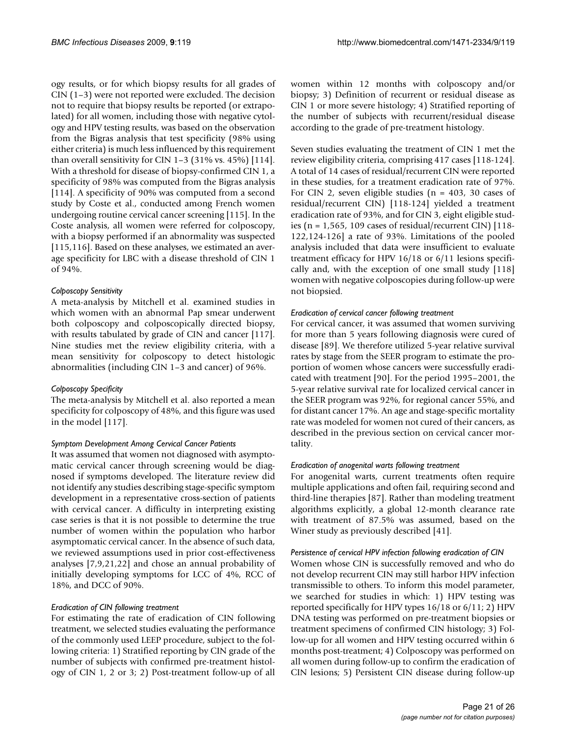ogy results, or for which biopsy results for all grades of CIN (1–3) were not reported were excluded. The decision not to require that biopsy results be reported (or extrapolated) for all women, including those with negative cytology and HPV testing results, was based on the observation from the Bigras analysis that test specificity (98% using either criteria) is much less influenced by this requirement than overall sensitivity for CIN  $1-3$  (31% vs. 45%) [114]. With a threshold for disease of biopsy-confirmed CIN 1, a specificity of 98% was computed from the Bigras analysis [114]. A specificity of 90% was computed from a second study by Coste et al., conducted among French women undergoing routine cervical cancer screening [115]. In the Coste analysis, all women were referred for colposcopy, with a biopsy performed if an abnormality was suspected [115,116]. Based on these analyses, we estimated an average specificity for LBC with a disease threshold of CIN 1 of 94%.

#### *Colposcopy Sensitivity*

A meta-analysis by Mitchell et al. examined studies in which women with an abnormal Pap smear underwent both colposcopy and colposcopically directed biopsy, with results tabulated by grade of CIN and cancer [117]. Nine studies met the review eligibility criteria, with a mean sensitivity for colposcopy to detect histologic abnormalities (including CIN 1–3 and cancer) of 96%.

#### *Colposcopy Specificity*

The meta-analysis by Mitchell et al. also reported a mean specificity for colposcopy of 48%, and this figure was used in the model [117].

#### *Symptom Development Among Cervical Cancer Patients*

It was assumed that women not diagnosed with asymptomatic cervical cancer through screening would be diagnosed if symptoms developed. The literature review did not identify any studies describing stage-specific symptom development in a representative cross-section of patients with cervical cancer. A difficulty in interpreting existing case series is that it is not possible to determine the true number of women within the population who harbor asymptomatic cervical cancer. In the absence of such data, we reviewed assumptions used in prior cost-effectiveness analyses [7,9,21,22] and chose an annual probability of initially developing symptoms for LCC of 4%, RCC of 18%, and DCC of 90%.

#### *Eradication of CIN following treatment*

For estimating the rate of eradication of CIN following treatment, we selected studies evaluating the performance of the commonly used LEEP procedure, subject to the following criteria: 1) Stratified reporting by CIN grade of the number of subjects with confirmed pre-treatment histology of CIN 1, 2 or 3; 2) Post-treatment follow-up of all

women within 12 months with colposcopy and/or biopsy; 3) Definition of recurrent or residual disease as CIN 1 or more severe histology; 4) Stratified reporting of the number of subjects with recurrent/residual disease according to the grade of pre-treatment histology.

Seven studies evaluating the treatment of CIN 1 met the review eligibility criteria, comprising 417 cases [118-124]. A total of 14 cases of residual/recurrent CIN were reported in these studies, for a treatment eradication rate of 97%. For CIN 2, seven eligible studies ( $n = 403$ , 30 cases of residual/recurrent CIN) [118-124] yielded a treatment eradication rate of 93%, and for CIN 3, eight eligible studies (n = 1,565, 109 cases of residual/recurrent CIN)  $[118 -$ 122,124-126] a rate of 93%. Limitations of the pooled analysis included that data were insufficient to evaluate treatment efficacy for HPV 16/18 or 6/11 lesions specifically and, with the exception of one small study [118] women with negative colposcopies during follow-up were not biopsied.

#### *Eradication of cervical cancer following treatment*

For cervical cancer, it was assumed that women surviving for more than 5 years following diagnosis were cured of disease [89]. We therefore utilized 5-year relative survival rates by stage from the SEER program to estimate the proportion of women whose cancers were successfully eradicated with treatment [90]. For the period 1995–2001, the 5-year relative survival rate for localized cervical cancer in the SEER program was 92%, for regional cancer 55%, and for distant cancer 17%. An age and stage-specific mortality rate was modeled for women not cured of their cancers, as described in the previous section on cervical cancer mortality.

#### *Eradication of anogenital warts following treatment*

For anogenital warts, current treatments often require multiple applications and often fail, requiring second and third-line therapies [87]. Rather than modeling treatment algorithms explicitly, a global 12-month clearance rate with treatment of 87.5% was assumed, based on the Winer study as previously described [41].

#### *Persistence of cervical HPV infection following eradication of CIN*

Women whose CIN is successfully removed and who do not develop recurrent CIN may still harbor HPV infection transmissible to others. To inform this model parameter, we searched for studies in which: 1) HPV testing was reported specifically for HPV types 16/18 or 6/11; 2) HPV DNA testing was performed on pre-treatment biopsies or treatment specimens of confirmed CIN histology; 3) Follow-up for all women and HPV testing occurred within 6 months post-treatment; 4) Colposcopy was performed on all women during follow-up to confirm the eradication of CIN lesions; 5) Persistent CIN disease during follow-up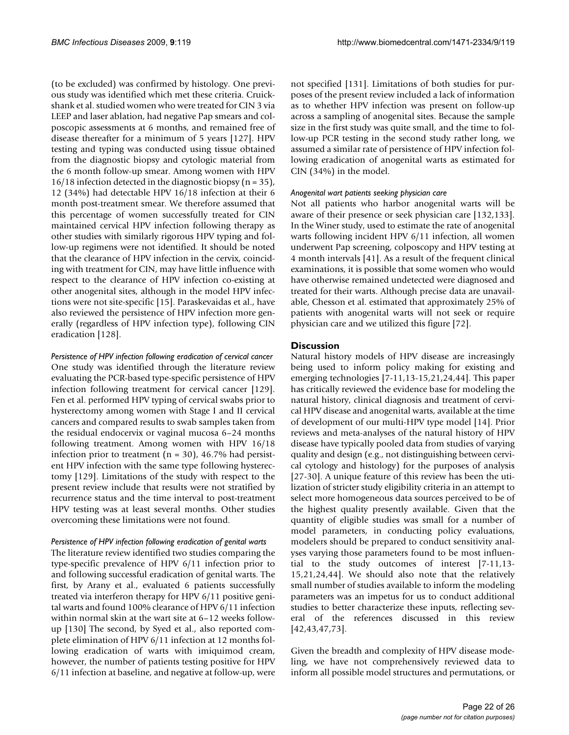(to be excluded) was confirmed by histology. One previous study was identified which met these criteria. Cruickshank et al. studied women who were treated for CIN 3 via LEEP and laser ablation, had negative Pap smears and colposcopic assessments at 6 months, and remained free of disease thereafter for a minimum of 5 years [127]. HPV testing and typing was conducted using tissue obtained from the diagnostic biopsy and cytologic material from the 6 month follow-up smear. Among women with HPV 16/18 infection detected in the diagnostic biopsy (n = 35), 12 (34%) had detectable HPV 16/18 infection at their 6 month post-treatment smear. We therefore assumed that this percentage of women successfully treated for CIN maintained cervical HPV infection following therapy as other studies with similarly rigorous HPV typing and follow-up regimens were not identified. It should be noted that the clearance of HPV infection in the cervix, coinciding with treatment for CIN, may have little influence with respect to the clearance of HPV infection co-existing at other anogenital sites, although in the model HPV infections were not site-specific [15]. Paraskevaidas et al., have also reviewed the persistence of HPV infection more generally (regardless of HPV infection type), following CIN eradication [128].

*Persistence of HPV infection following eradication of cervical cancer* One study was identified through the literature review evaluating the PCR-based type-specific persistence of HPV infection following treatment for cervical cancer [129]. Fen et al. performed HPV typing of cervical swabs prior to hysterectomy among women with Stage I and II cervical cancers and compared results to swab samples taken from the residual endocervix or vaginal mucosa 6–24 months following treatment. Among women with HPV 16/18 infection prior to treatment  $(n = 30)$ , 46.7% had persistent HPV infection with the same type following hysterectomy [129]. Limitations of the study with respect to the present review include that results were not stratified by recurrence status and the time interval to post-treatment HPV testing was at least several months. Other studies overcoming these limitations were not found.

#### *Persistence of HPV infection following eradication of genital warts*

The literature review identified two studies comparing the type-specific prevalence of HPV 6/11 infection prior to and following successful eradication of genital warts. The first, by Arany et al., evaluated 6 patients successfully treated via interferon therapy for HPV 6/11 positive genital warts and found 100% clearance of HPV 6/11 infection within normal skin at the wart site at 6–12 weeks followup [130] The second, by Syed et al., also reported complete elimination of HPV 6/11 infection at 12 months following eradication of warts with imiquimod cream, however, the number of patients testing positive for HPV 6/11 infection at baseline, and negative at follow-up, were not specified [131]. Limitations of both studies for purposes of the present review included a lack of information as to whether HPV infection was present on follow-up across a sampling of anogenital sites. Because the sample size in the first study was quite small, and the time to follow-up PCR testing in the second study rather long, we assumed a similar rate of persistence of HPV infection following eradication of anogenital warts as estimated for CIN (34%) in the model.

#### *Anogenital wart patients seeking physician care*

Not all patients who harbor anogenital warts will be aware of their presence or seek physician care [132,133]. In the Winer study, used to estimate the rate of anogenital warts following incident HPV 6/11 infection, all women underwent Pap screening, colposcopy and HPV testing at 4 month intervals [41]. As a result of the frequent clinical examinations, it is possible that some women who would have otherwise remained undetected were diagnosed and treated for their warts. Although precise data are unavailable, Chesson et al. estimated that approximately 25% of patients with anogenital warts will not seek or require physician care and we utilized this figure [72].

## **Discussion**

Natural history models of HPV disease are increasingly being used to inform policy making for existing and emerging technologies [7-11,13-15,21,24,44]. This paper has critically reviewed the evidence base for modeling the natural history, clinical diagnosis and treatment of cervical HPV disease and anogenital warts, available at the time of development of our multi-HPV type model [14]. Prior reviews and meta-analyses of the natural history of HPV disease have typically pooled data from studies of varying quality and design (e.g., not distinguishing between cervical cytology and histology) for the purposes of analysis [27-30]. A unique feature of this review has been the utilization of stricter study eligibility criteria in an attempt to select more homogeneous data sources perceived to be of the highest quality presently available. Given that the quantity of eligible studies was small for a number of model parameters, in conducting policy evaluations, modelers should be prepared to conduct sensitivity analyses varying those parameters found to be most influential to the study outcomes of interest [7-11,13- 15,21,24,44]. We should also note that the relatively small number of studies available to inform the modeling parameters was an impetus for us to conduct additional studies to better characterize these inputs, reflecting several of the references discussed in this review [42,43,47,73].

Given the breadth and complexity of HPV disease modeling, we have not comprehensively reviewed data to inform all possible model structures and permutations, or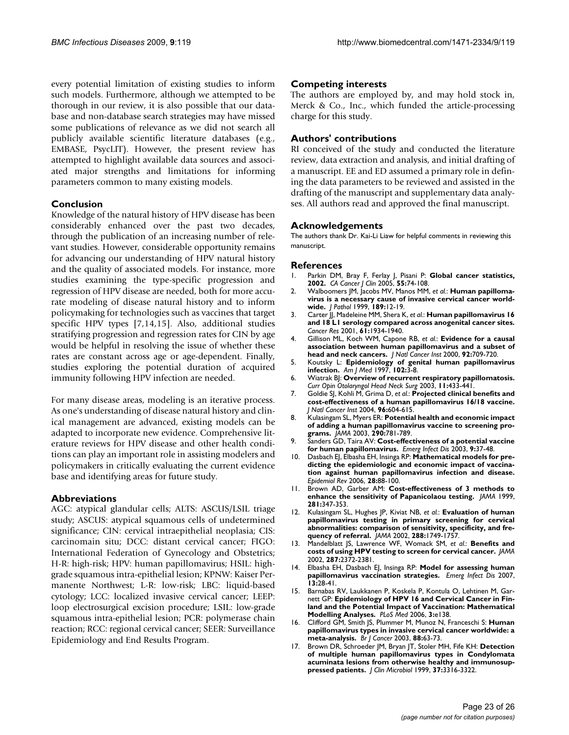every potential limitation of existing studies to inform such models. Furthermore, although we attempted to be thorough in our review, it is also possible that our database and non-database search strategies may have missed some publications of relevance as we did not search all publicly available scientific literature databases (e.g., EMBASE, PsycLIT). However, the present review has attempted to highlight available data sources and associated major strengths and limitations for informing parameters common to many existing models.

#### **Conclusion**

Knowledge of the natural history of HPV disease has been considerably enhanced over the past two decades, through the publication of an increasing number of relevant studies. However, considerable opportunity remains for advancing our understanding of HPV natural history and the quality of associated models. For instance, more studies examining the type-specific progression and regression of HPV disease are needed, both for more accurate modeling of disease natural history and to inform policymaking for technologies such as vaccines that target specific HPV types [7,14,15]. Also, additional studies stratifying progression and regression rates for CIN by age would be helpful in resolving the issue of whether these rates are constant across age or age-dependent. Finally, studies exploring the potential duration of acquired immunity following HPV infection are needed.

For many disease areas, modeling is an iterative process. As one's understanding of disease natural history and clinical management are advanced, existing models can be adapted to incorporate new evidence. Comprehensive literature reviews for HPV disease and other health conditions can play an important role in assisting modelers and policymakers in critically evaluating the current evidence base and identifying areas for future study.

#### **Abbreviations**

AGC: atypical glandular cells; ALTS: ASCUS/LSIL triage study; ASCUS: atypical squamous cells of undetermined significance; CIN: cervical intraepithelial neoplasia; CIS: carcinomain situ; DCC: distant cervical cancer; FIGO: International Federation of Gynecology and Obstetrics; H-R: high-risk; HPV: human papillomavirus; HSIL: highgrade squamous intra-epithelial lesion; KPNW: Kaiser Permanente Northwest; L-R: low-risk; LBC: liquid-based cytology; LCC: localized invasive cervical cancer; LEEP: loop electrosurgical excision procedure; LSIL: low-grade squamous intra-epithelial lesion; PCR: polymerase chain reaction; RCC: regional cervical cancer; SEER: Surveillance Epidemiology and End Results Program.

#### **Competing interests**

The authors are employed by, and may hold stock in, Merck & Co., Inc., which funded the article-processing charge for this study.

#### **Authors' contributions**

RI conceived of the study and conducted the literature review, data extraction and analysis, and initial drafting of a manuscript. EE and ED assumed a primary role in defining the data parameters to be reviewed and assisted in the drafting of the manuscript and supplementary data analyses. All authors read and approved the final manuscript.

#### **Acknowledgements**

The authors thank Dr. Kai-Li Liaw for helpful comments in reviewing this manuscript.

#### **References**

- 1. Parkin DM, Bray F, Ferlay J, Pisani P: **[Global cancer statistics,](http://www.ncbi.nlm.nih.gov/entrez/query.fcgi?cmd=Retrieve&db=PubMed&dopt=Abstract&list_uids=15761078) [2002.](http://www.ncbi.nlm.nih.gov/entrez/query.fcgi?cmd=Retrieve&db=PubMed&dopt=Abstract&list_uids=15761078)** *CA Cancer J Clin* 2005, **55:**74-108.
- 2. Walboomers JM, Jacobs MV, Manos MM, *et al.*: **[Human papilloma](http://www.ncbi.nlm.nih.gov/entrez/query.fcgi?cmd=Retrieve&db=PubMed&dopt=Abstract&list_uids=10451482)[virus is a necessary cause of invasive cervical cancer world](http://www.ncbi.nlm.nih.gov/entrez/query.fcgi?cmd=Retrieve&db=PubMed&dopt=Abstract&list_uids=10451482)[wide.](http://www.ncbi.nlm.nih.gov/entrez/query.fcgi?cmd=Retrieve&db=PubMed&dopt=Abstract&list_uids=10451482)** *J Pathol* 1999, **189:**12-19.
- 3. Carter JJ, Madeleine MM, Shera K, *et al.*: **[Human papillomavirus 16](http://www.ncbi.nlm.nih.gov/entrez/query.fcgi?cmd=Retrieve&db=PubMed&dopt=Abstract&list_uids=11280749) [and 18 L1 serology compared across anogenital cancer sites.](http://www.ncbi.nlm.nih.gov/entrez/query.fcgi?cmd=Retrieve&db=PubMed&dopt=Abstract&list_uids=11280749)** *Cancer Res* 2001, **61:**1934-1940.
- 4. Gillison ML, Koch WM, Capone RB, *et al.*: **[Evidence for a causal](http://www.ncbi.nlm.nih.gov/entrez/query.fcgi?cmd=Retrieve&db=PubMed&dopt=Abstract&list_uids=10793107) [association between human papillomavirus and a subset of](http://www.ncbi.nlm.nih.gov/entrez/query.fcgi?cmd=Retrieve&db=PubMed&dopt=Abstract&list_uids=10793107) [head and neck cancers.](http://www.ncbi.nlm.nih.gov/entrez/query.fcgi?cmd=Retrieve&db=PubMed&dopt=Abstract&list_uids=10793107)** *J Natl Cancer Inst* 2000, **92:**709-720.
- 5. Koutsky L: **[Epidemiology of genital human papillomavirus](http://www.ncbi.nlm.nih.gov/entrez/query.fcgi?cmd=Retrieve&db=PubMed&dopt=Abstract&list_uids=9217656) [infection.](http://www.ncbi.nlm.nih.gov/entrez/query.fcgi?cmd=Retrieve&db=PubMed&dopt=Abstract&list_uids=9217656)** *Am J Med* 1997, **102:**3-8.
- 6. Wiatrak BJ: **[Overview of recurrent respiratory papillomatosis.](http://www.ncbi.nlm.nih.gov/entrez/query.fcgi?cmd=Retrieve&db=PubMed&dopt=Abstract&list_uids=14631175)** *Curr Opin Otolaryngol Head Neck Surg* 2003, **11:**433-441.
- 7. Goldie SJ, Kohli M, Grima D, *et al.*: **[Projected clinical benefits and](http://www.ncbi.nlm.nih.gov/entrez/query.fcgi?cmd=Retrieve&db=PubMed&dopt=Abstract&list_uids=15100338) [cost-effectiveness of a human papillomavirus 16/18 vaccine.](http://www.ncbi.nlm.nih.gov/entrez/query.fcgi?cmd=Retrieve&db=PubMed&dopt=Abstract&list_uids=15100338)** *J Natl Cancer Inst* 2004, **96:**604-615.
- 8. Kulasingam SL, Myers ER: **[Potential health and economic impact](http://www.ncbi.nlm.nih.gov/entrez/query.fcgi?cmd=Retrieve&db=PubMed&dopt=Abstract&list_uids=12915431) [of adding a human papillomavirus vaccine to screening pro](http://www.ncbi.nlm.nih.gov/entrez/query.fcgi?cmd=Retrieve&db=PubMed&dopt=Abstract&list_uids=12915431)[grams.](http://www.ncbi.nlm.nih.gov/entrez/query.fcgi?cmd=Retrieve&db=PubMed&dopt=Abstract&list_uids=12915431)** *JAMA* 2003, **290:**781-789.
- 9. Sanders GD, Taira AV: **[Cost-effectiveness of a potential vaccine](http://www.ncbi.nlm.nih.gov/entrez/query.fcgi?cmd=Retrieve&db=PubMed&dopt=Abstract&list_uids=12533280) [for human papillomavirus.](http://www.ncbi.nlm.nih.gov/entrez/query.fcgi?cmd=Retrieve&db=PubMed&dopt=Abstract&list_uids=12533280)** *Emerg Infect Dis* 2003, **9:**37-48.
- 10. Dasbach EJ, Elbasha EH, Insinga RP: **[Mathematical models for pre](http://www.ncbi.nlm.nih.gov/entrez/query.fcgi?cmd=Retrieve&db=PubMed&dopt=Abstract&list_uids=16740585)[dicting the epidemiologic and economic impact of vaccina](http://www.ncbi.nlm.nih.gov/entrez/query.fcgi?cmd=Retrieve&db=PubMed&dopt=Abstract&list_uids=16740585)tion against human papillomavirus infection and disease.** *Epidemiol Rev* 2006, **28:**88-100.
- 11. Brown AD, Garber AM: **[Cost-effectiveness of 3 methods to](http://www.ncbi.nlm.nih.gov/entrez/query.fcgi?cmd=Retrieve&db=PubMed&dopt=Abstract&list_uids=9929088) [enhance the sensitivity of Papanicolaou testing.](http://www.ncbi.nlm.nih.gov/entrez/query.fcgi?cmd=Retrieve&db=PubMed&dopt=Abstract&list_uids=9929088)** *JAMA* 1999, **281:**347-353.
- 12. Kulasingam SL, Hughes JP, Kiviat NB, *et al.*: **[Evaluation of human](http://www.ncbi.nlm.nih.gov/entrez/query.fcgi?cmd=Retrieve&db=PubMed&dopt=Abstract&list_uids=12365959) [papillomavirus testing in primary screening for cervical](http://www.ncbi.nlm.nih.gov/entrez/query.fcgi?cmd=Retrieve&db=PubMed&dopt=Abstract&list_uids=12365959) abnormalities: comparison of sensitivity, specificity, and fre[quency of referral.](http://www.ncbi.nlm.nih.gov/entrez/query.fcgi?cmd=Retrieve&db=PubMed&dopt=Abstract&list_uids=12365959)** *JAMA* 2002, **288:**1749-1757.
- 13. Mandelblatt JS, Lawrence WF, Womack SM, *et al.*: **[Benefits and](http://www.ncbi.nlm.nih.gov/entrez/query.fcgi?cmd=Retrieve&db=PubMed&dopt=Abstract&list_uids=11988058) [costs of using HPV testing to screen for cervical cancer.](http://www.ncbi.nlm.nih.gov/entrez/query.fcgi?cmd=Retrieve&db=PubMed&dopt=Abstract&list_uids=11988058)** *JAMA* 2002, **287:**2372-2381.
- 14. Elbasha EH, Dasbach EJ, Insinga RP: **[Model for assessing human](http://www.ncbi.nlm.nih.gov/entrez/query.fcgi?cmd=Retrieve&db=PubMed&dopt=Abstract&list_uids=17370513) [papillomavirus vaccination strategies.](http://www.ncbi.nlm.nih.gov/entrez/query.fcgi?cmd=Retrieve&db=PubMed&dopt=Abstract&list_uids=17370513)** *Emerg Infect Dis* 2007, **13:**28-41.
- 15. Barnabas RV, Laukkanen P, Koskela P, Kontula O, Lehtinen M, Garnett GP: **[Epidemiology of HPV 16 and Cervical Cancer in Fin](http://www.ncbi.nlm.nih.gov/entrez/query.fcgi?cmd=Retrieve&db=PubMed&dopt=Abstract&list_uids=16573364)[land and the Potential Impact of Vaccination: Mathematical](http://www.ncbi.nlm.nih.gov/entrez/query.fcgi?cmd=Retrieve&db=PubMed&dopt=Abstract&list_uids=16573364) [Modelling Analyses.](http://www.ncbi.nlm.nih.gov/entrez/query.fcgi?cmd=Retrieve&db=PubMed&dopt=Abstract&list_uids=16573364)** *PLoS Med* 2006, **3:**e138.
- 16. Clifford GM, Smith JS, Plummer M, Munoz N, Franceschi S: **[Human](http://www.ncbi.nlm.nih.gov/entrez/query.fcgi?cmd=Retrieve&db=PubMed&dopt=Abstract&list_uids=12556961) [papillomavirus types in invasive cervical cancer worldwide: a](http://www.ncbi.nlm.nih.gov/entrez/query.fcgi?cmd=Retrieve&db=PubMed&dopt=Abstract&list_uids=12556961) [meta-analysis.](http://www.ncbi.nlm.nih.gov/entrez/query.fcgi?cmd=Retrieve&db=PubMed&dopt=Abstract&list_uids=12556961)** *Br J Cancer* 2003, **88:**63-73.
- 17. Brown DR, Schroeder JM, Bryan JT, Stoler MH, Fife KH: **[Detection](http://www.ncbi.nlm.nih.gov/entrez/query.fcgi?cmd=Retrieve&db=PubMed&dopt=Abstract&list_uids=10488198) [of multiple human papillomavirus types in Condylomata](http://www.ncbi.nlm.nih.gov/entrez/query.fcgi?cmd=Retrieve&db=PubMed&dopt=Abstract&list_uids=10488198) acuminata lesions from otherwise healthy and immunosup[pressed patients.](http://www.ncbi.nlm.nih.gov/entrez/query.fcgi?cmd=Retrieve&db=PubMed&dopt=Abstract&list_uids=10488198)** *J Clin Microbiol* 1999, **37:**3316-3322.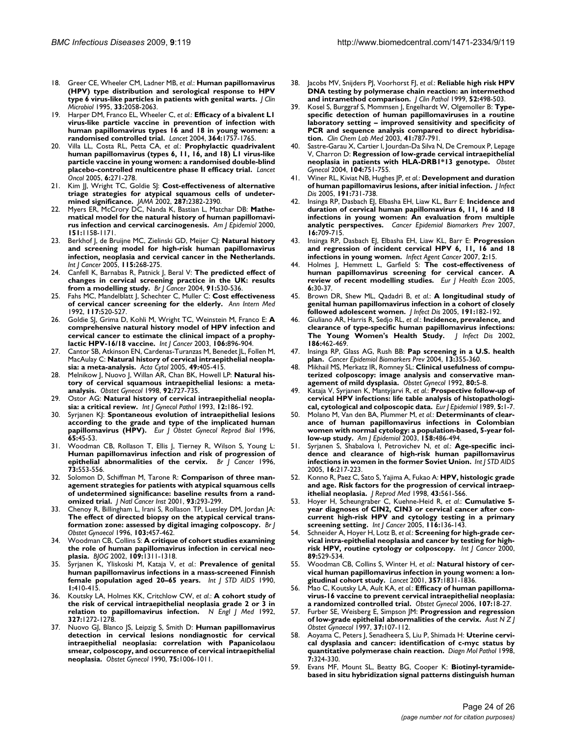- 18. Greer CE, Wheeler CM, Ladner MB, *et al.*: **[Human papillomavirus](http://www.ncbi.nlm.nih.gov/entrez/query.fcgi?cmd=Retrieve&db=PubMed&dopt=Abstract&list_uids=7559948) [\(HPV\) type distribution and serological response to HPV](http://www.ncbi.nlm.nih.gov/entrez/query.fcgi?cmd=Retrieve&db=PubMed&dopt=Abstract&list_uids=7559948) [type 6 virus-like particles in patients with genital warts.](http://www.ncbi.nlm.nih.gov/entrez/query.fcgi?cmd=Retrieve&db=PubMed&dopt=Abstract&list_uids=7559948)** *J Clin Microbiol* 1995, **33:**2058-2063.
- 19. Harper DM, Franco EL, Wheeler C, *et al.*: **[Efficacy of a bivalent L1](http://www.ncbi.nlm.nih.gov/entrez/query.fcgi?cmd=Retrieve&db=PubMed&dopt=Abstract&list_uids=15541448) [virus-like particle vaccine in prevention of infection with](http://www.ncbi.nlm.nih.gov/entrez/query.fcgi?cmd=Retrieve&db=PubMed&dopt=Abstract&list_uids=15541448) human papillomavirus types 16 and 18 in young women: a [randomised controlled trial.](http://www.ncbi.nlm.nih.gov/entrez/query.fcgi?cmd=Retrieve&db=PubMed&dopt=Abstract&list_uids=15541448)** *Lancet* 2004, **364:**1757-1765.
- 20. Villa LL, Costa RL, Petta CA, *et al.*: **[Prophylactic quadrivalent](http://www.ncbi.nlm.nih.gov/entrez/query.fcgi?cmd=Retrieve&db=PubMed&dopt=Abstract&list_uids=15863374) [human papillomavirus \(types 6, 11, 16, and 18\) L1 virus-like](http://www.ncbi.nlm.nih.gov/entrez/query.fcgi?cmd=Retrieve&db=PubMed&dopt=Abstract&list_uids=15863374) particle vaccine in young women: a randomised double-blind [placebo-controlled multicentre phase II efficacy trial.](http://www.ncbi.nlm.nih.gov/entrez/query.fcgi?cmd=Retrieve&db=PubMed&dopt=Abstract&list_uids=15863374)** *Lancet Oncol* 2005, **6:**271-278.
- 21. Kim JJ, Wright TC, Goldie SJ: **[Cost-effectiveness of alternative](http://www.ncbi.nlm.nih.gov/entrez/query.fcgi?cmd=Retrieve&db=PubMed&dopt=Abstract&list_uids=11988059) [triage strategies for atypical squamous cells of undeter](http://www.ncbi.nlm.nih.gov/entrez/query.fcgi?cmd=Retrieve&db=PubMed&dopt=Abstract&list_uids=11988059)[mined significance.](http://www.ncbi.nlm.nih.gov/entrez/query.fcgi?cmd=Retrieve&db=PubMed&dopt=Abstract&list_uids=11988059)** *JAMA* 2002, **287:**2382-2390.
- 22. Myers ER, McCrory DC, Nanda K, Bastian L, Matchar DB: **[Mathe](http://www.ncbi.nlm.nih.gov/entrez/query.fcgi?cmd=Retrieve&db=PubMed&dopt=Abstract&list_uids=10905528)[matical model for the natural history of human papillomavi](http://www.ncbi.nlm.nih.gov/entrez/query.fcgi?cmd=Retrieve&db=PubMed&dopt=Abstract&list_uids=10905528)[rus infection and cervical carcinogenesis.](http://www.ncbi.nlm.nih.gov/entrez/query.fcgi?cmd=Retrieve&db=PubMed&dopt=Abstract&list_uids=10905528)** *Am J Epidemiol* 2000, **151:**1158-1171.
- 23. Berkhof J, de Bruijne MC, Zielinski GD, Meijer CJ: **[Natural history](http://www.ncbi.nlm.nih.gov/entrez/query.fcgi?cmd=Retrieve&db=PubMed&dopt=Abstract&list_uids=15688404) [and screening model for high-risk human papillomavirus](http://www.ncbi.nlm.nih.gov/entrez/query.fcgi?cmd=Retrieve&db=PubMed&dopt=Abstract&list_uids=15688404) infection, neoplasia and cervical cancer in the Netherlands.** *Int J Cancer* 2005, **115:**268-275.
- 24. Canfell K, Barnabas R, Patnick J, Beral V: **[The predicted effect of](http://www.ncbi.nlm.nih.gov/entrez/query.fcgi?cmd=Retrieve&db=PubMed&dopt=Abstract&list_uids=15266332) [changes in cervical screening practice in the UK: results](http://www.ncbi.nlm.nih.gov/entrez/query.fcgi?cmd=Retrieve&db=PubMed&dopt=Abstract&list_uids=15266332) [from a modelling study.](http://www.ncbi.nlm.nih.gov/entrez/query.fcgi?cmd=Retrieve&db=PubMed&dopt=Abstract&list_uids=15266332)** *Br J Cancer* 2004, **91:**530-536.
- 25. Fahs MC, Mandelblatt J, Schechter C, Muller C: **[Cost effectiveness](http://www.ncbi.nlm.nih.gov/entrez/query.fcgi?cmd=Retrieve&db=PubMed&dopt=Abstract&list_uids=1503355) [of cervical cancer screening for the elderly.](http://www.ncbi.nlm.nih.gov/entrez/query.fcgi?cmd=Retrieve&db=PubMed&dopt=Abstract&list_uids=1503355)** *Ann Intern Med* 1992, **117:**520-527.
- 26. Goldie SJ, Grima D, Kohli M, Wright TC, Weinstein M, Franco E: **[A](http://www.ncbi.nlm.nih.gov/entrez/query.fcgi?cmd=Retrieve&db=PubMed&dopt=Abstract&list_uids=12918067) [comprehensive natural history model of HPV infection and](http://www.ncbi.nlm.nih.gov/entrez/query.fcgi?cmd=Retrieve&db=PubMed&dopt=Abstract&list_uids=12918067) cervical cancer to estimate the clinical impact of a prophy[lactic HPV-16/18 vaccine.](http://www.ncbi.nlm.nih.gov/entrez/query.fcgi?cmd=Retrieve&db=PubMed&dopt=Abstract&list_uids=12918067)** *Int J Cancer* 2003, **106:**896-904.
- 27. Cantor SB, Atkinson EN, Cardenas-Turanzas M, Benedet JL, Follen M, MacAulay C: **[Natural history of cervical intraepithelial neopla](http://www.ncbi.nlm.nih.gov/entrez/query.fcgi?cmd=Retrieve&db=PubMed&dopt=Abstract&list_uids=16124170)[sia: a meta-analysis.](http://www.ncbi.nlm.nih.gov/entrez/query.fcgi?cmd=Retrieve&db=PubMed&dopt=Abstract&list_uids=16124170)** *Acta Cytol* 2005, **49:**405-415.
- 28. Melnikow J, Nuovo J, Willan AR, Chan BK, Howell LP: **[Natural his](http://www.ncbi.nlm.nih.gov/entrez/query.fcgi?cmd=Retrieve&db=PubMed&dopt=Abstract&list_uids=9764690)[tory of cervical squamous intraepithelial lesions: a meta](http://www.ncbi.nlm.nih.gov/entrez/query.fcgi?cmd=Retrieve&db=PubMed&dopt=Abstract&list_uids=9764690)[analysis.](http://www.ncbi.nlm.nih.gov/entrez/query.fcgi?cmd=Retrieve&db=PubMed&dopt=Abstract&list_uids=9764690)** *Obstet Gynecol* 1998, **92:**727-735.
- 29. Ostor AG: **[Natural history of cervical intraepithelial neopla](http://www.ncbi.nlm.nih.gov/entrez/query.fcgi?cmd=Retrieve&db=PubMed&dopt=Abstract&list_uids=8463044)[sia: a critical review.](http://www.ncbi.nlm.nih.gov/entrez/query.fcgi?cmd=Retrieve&db=PubMed&dopt=Abstract&list_uids=8463044)** *Int J Gynecol Pathol* 1993, **12:**186-192.
- 30. Syrjanen KJ: **[Spontaneous evolution of intraepithelial lesions](http://www.ncbi.nlm.nih.gov/entrez/query.fcgi?cmd=Retrieve&db=PubMed&dopt=Abstract&list_uids=8706956) [according to the grade and type of the implicated human](http://www.ncbi.nlm.nih.gov/entrez/query.fcgi?cmd=Retrieve&db=PubMed&dopt=Abstract&list_uids=8706956) [papillomavirus \(HPV\).](http://www.ncbi.nlm.nih.gov/entrez/query.fcgi?cmd=Retrieve&db=PubMed&dopt=Abstract&list_uids=8706956)** *Eur J Obstet Gynecol Reprod Biol* 1996, **65:**45-53.
- 31. Woodman CB, Rollason T, Ellis J, Tierney R, Wilson S, Young L: **[Human papillomavirus infection and risk of progression of](http://www.ncbi.nlm.nih.gov/entrez/query.fcgi?cmd=Retrieve&db=PubMed&dopt=Abstract&list_uids=8595174) [epithelial abnormalities of the cervix.](http://www.ncbi.nlm.nih.gov/entrez/query.fcgi?cmd=Retrieve&db=PubMed&dopt=Abstract&list_uids=8595174)** *Br J Cancer* 1996, **73:**553-556.
- 32. Solomon D, Schiffman M, Tarone R: **[Comparison of three man](http://www.ncbi.nlm.nih.gov/entrez/query.fcgi?cmd=Retrieve&db=PubMed&dopt=Abstract&list_uids=11181776)[agement strategies for patients with atypical squamous cells](http://www.ncbi.nlm.nih.gov/entrez/query.fcgi?cmd=Retrieve&db=PubMed&dopt=Abstract&list_uids=11181776) of undetermined significance: baseline results from a rand[omized trial.](http://www.ncbi.nlm.nih.gov/entrez/query.fcgi?cmd=Retrieve&db=PubMed&dopt=Abstract&list_uids=11181776)** *J Natl Cancer Inst* 2001, **93:**293-299.
- 33. Chenoy R, Billingham L, Irani S, Rollason TP, Luesley DM, Jordan JA: **[The effect of directed biopsy on the atypical cervical trans](http://www.ncbi.nlm.nih.gov/entrez/query.fcgi?cmd=Retrieve&db=PubMed&dopt=Abstract&list_uids=8624320)[formation zone: assessed by digital imaging colposcopy.](http://www.ncbi.nlm.nih.gov/entrez/query.fcgi?cmd=Retrieve&db=PubMed&dopt=Abstract&list_uids=8624320)** *Br J Obstet Gynaecol* 1996, **103:**457-462.
- 34. Woodman CB, Collins S: **[A critique of cohort studies examining](http://www.ncbi.nlm.nih.gov/entrez/query.fcgi?cmd=Retrieve&db=PubMed&dopt=Abstract&list_uids=12504964) [the role of human papillomavirus infection in cervical neo](http://www.ncbi.nlm.nih.gov/entrez/query.fcgi?cmd=Retrieve&db=PubMed&dopt=Abstract&list_uids=12504964)[plasia.](http://www.ncbi.nlm.nih.gov/entrez/query.fcgi?cmd=Retrieve&db=PubMed&dopt=Abstract&list_uids=12504964)** *BJOG* 2002, **109:**1311-1318.
- 35. Syrjanen K, Yliskoski M, Kataja V, *et al.*: **[Prevalence of genital](http://www.ncbi.nlm.nih.gov/entrez/query.fcgi?cmd=Retrieve&db=PubMed&dopt=Abstract&list_uids=1965568) [human papillomavirus infections in a mass-screened Finnish](http://www.ncbi.nlm.nih.gov/entrez/query.fcgi?cmd=Retrieve&db=PubMed&dopt=Abstract&list_uids=1965568) [female population aged 20–65 years.](http://www.ncbi.nlm.nih.gov/entrez/query.fcgi?cmd=Retrieve&db=PubMed&dopt=Abstract&list_uids=1965568)** *Int J STD AIDS* 1990, **1:**410-415.
- 36. Koutsky LA, Holmes KK, Critchlow CW, *et al.*: **[A cohort study of](http://www.ncbi.nlm.nih.gov/entrez/query.fcgi?cmd=Retrieve&db=PubMed&dopt=Abstract&list_uids=1328880) [the risk of cervical intraepithelial neoplasia grade 2 or 3 in](http://www.ncbi.nlm.nih.gov/entrez/query.fcgi?cmd=Retrieve&db=PubMed&dopt=Abstract&list_uids=1328880) [relation to papillomavirus infection.](http://www.ncbi.nlm.nih.gov/entrez/query.fcgi?cmd=Retrieve&db=PubMed&dopt=Abstract&list_uids=1328880)** *N Engl J Med* 1992, **327:**1272-1278.
- 37. Nuovo GJ, Blanco JS, Leipzig S, Smith D: **[Human papillomavirus](http://www.ncbi.nlm.nih.gov/entrez/query.fcgi?cmd=Retrieve&db=PubMed&dopt=Abstract&list_uids=2160630) [detection in cervical lesions nondiagnostic for cervical](http://www.ncbi.nlm.nih.gov/entrez/query.fcgi?cmd=Retrieve&db=PubMed&dopt=Abstract&list_uids=2160630) intraepithelial neoplasia: correlation with Papanicolaou smear, colposcopy, and occurrence of cervical intraepithelial [neoplasia.](http://www.ncbi.nlm.nih.gov/entrez/query.fcgi?cmd=Retrieve&db=PubMed&dopt=Abstract&list_uids=2160630)** *Obstet Gynecol* 1990, **75:**1006-1011.
- 38. Jacobs MV, Snijders PJ, Voorhorst FJ, *et al.*: **[Reliable high risk HPV](http://www.ncbi.nlm.nih.gov/entrez/query.fcgi?cmd=Retrieve&db=PubMed&dopt=Abstract&list_uids=10605401) [DNA testing by polymerase chain reaction: an intermethod](http://www.ncbi.nlm.nih.gov/entrez/query.fcgi?cmd=Retrieve&db=PubMed&dopt=Abstract&list_uids=10605401) [and intramethod comparison.](http://www.ncbi.nlm.nih.gov/entrez/query.fcgi?cmd=Retrieve&db=PubMed&dopt=Abstract&list_uids=10605401)** *J Clin Pathol* 1999, **52:**498-503.
- 39. Kosel S, Burggraf S, Mommsen J, Engelhardt W, Olgemoller B: **[Type](http://www.ncbi.nlm.nih.gov/entrez/query.fcgi?cmd=Retrieve&db=PubMed&dopt=Abstract&list_uids=12880142)[specific detection of human papillomaviruses in a routine](http://www.ncbi.nlm.nih.gov/entrez/query.fcgi?cmd=Retrieve&db=PubMed&dopt=Abstract&list_uids=12880142) laboratory setting – improved sensitivity and specificity of PCR and sequence analysis compared to direct hybridisa[tion.](http://www.ncbi.nlm.nih.gov/entrez/query.fcgi?cmd=Retrieve&db=PubMed&dopt=Abstract&list_uids=12880142)** *Clin Chem Lab Med* 2003, **41:**787-791.
- Sastre-Garau X, Cartier I, Jourdan-Da Silva N, De Cremoux P, Lepage V, Charron D: **[Regression of low-grade cervical intraepithelial](http://www.ncbi.nlm.nih.gov/entrez/query.fcgi?cmd=Retrieve&db=PubMed&dopt=Abstract&list_uids=15458897) [neoplasia in patients with HLA-DRB1\\*13 genotype.](http://www.ncbi.nlm.nih.gov/entrez/query.fcgi?cmd=Retrieve&db=PubMed&dopt=Abstract&list_uids=15458897)** *Obstet Gynecol* 2004, **104:**751-755.
- 41. Winer RL, Kiviat NB, Hughes JP, *et al.*: **[Development and duration](http://www.ncbi.nlm.nih.gov/entrez/query.fcgi?cmd=Retrieve&db=PubMed&dopt=Abstract&list_uids=15688287) [of human papillomavirus lesions, after initial infection.](http://www.ncbi.nlm.nih.gov/entrez/query.fcgi?cmd=Retrieve&db=PubMed&dopt=Abstract&list_uids=15688287)** *J Infect Dis* 2005, **191:**731-738.
- 42. Insinga RP, Dasbach EJ, Elbasha EH, Liaw KL, Barr E: **[Incidence and](http://www.ncbi.nlm.nih.gov/entrez/query.fcgi?cmd=Retrieve&db=PubMed&dopt=Abstract&list_uids=17416761) [duration of cervical human papillomavirus 6, 11, 16 and 18](http://www.ncbi.nlm.nih.gov/entrez/query.fcgi?cmd=Retrieve&db=PubMed&dopt=Abstract&list_uids=17416761) infections in young women: An evaluation from multiple [analytic perspectives.](http://www.ncbi.nlm.nih.gov/entrez/query.fcgi?cmd=Retrieve&db=PubMed&dopt=Abstract&list_uids=17416761)** *Cancer Epidemiol Biomarkers Prev* 2007, **16:**709-715.
- 43. Insinga RP, Dasbach EJ, Elbasha EH, Liaw KL, Barr E: **[Progression](http://www.ncbi.nlm.nih.gov/entrez/query.fcgi?cmd=Retrieve&db=PubMed&dopt=Abstract&list_uids=17626624) [and regression of incident cervical HPV 6, 11, 16 and 18](http://www.ncbi.nlm.nih.gov/entrez/query.fcgi?cmd=Retrieve&db=PubMed&dopt=Abstract&list_uids=17626624) [infections in young women.](http://www.ncbi.nlm.nih.gov/entrez/query.fcgi?cmd=Retrieve&db=PubMed&dopt=Abstract&list_uids=17626624)** *Infect Agent Cancer* 2007, **2:**15.
- 44. Holmes J, Hemmett L, Garfield S: **[The cost-effectiveness of](http://www.ncbi.nlm.nih.gov/entrez/query.fcgi?cmd=Retrieve&db=PubMed&dopt=Abstract&list_uids=15682286) [human papillomavirus screening for cervical cancer. A](http://www.ncbi.nlm.nih.gov/entrez/query.fcgi?cmd=Retrieve&db=PubMed&dopt=Abstract&list_uids=15682286) [review of recent modelling studies.](http://www.ncbi.nlm.nih.gov/entrez/query.fcgi?cmd=Retrieve&db=PubMed&dopt=Abstract&list_uids=15682286)** *Eur J Health Econ* 2005, **6:**30-37.
- 45. Brown DR, Shew ML, Qadadri B, *et al.*: **[A longitudinal study of](http://www.ncbi.nlm.nih.gov/entrez/query.fcgi?cmd=Retrieve&db=PubMed&dopt=Abstract&list_uids=15609227) [genital human papillomavirus infection in a cohort of closely](http://www.ncbi.nlm.nih.gov/entrez/query.fcgi?cmd=Retrieve&db=PubMed&dopt=Abstract&list_uids=15609227) [followed adolescent women.](http://www.ncbi.nlm.nih.gov/entrez/query.fcgi?cmd=Retrieve&db=PubMed&dopt=Abstract&list_uids=15609227)** *J Infect Dis* 2005, **191:**182-192.
- 46. Giuliano AR, Harris R, Sedjo RL, *et al.*: **[Incidence, prevalence, and](http://www.ncbi.nlm.nih.gov/entrez/query.fcgi?cmd=Retrieve&db=PubMed&dopt=Abstract&list_uids=12195372) [clearance of type-specific human papillomavirus infections:](http://www.ncbi.nlm.nih.gov/entrez/query.fcgi?cmd=Retrieve&db=PubMed&dopt=Abstract&list_uids=12195372) [The Young Women's Health Study.](http://www.ncbi.nlm.nih.gov/entrez/query.fcgi?cmd=Retrieve&db=PubMed&dopt=Abstract&list_uids=12195372)** *J Infect Dis* 2002, **186:**462-469.
- 47. Insinga RP, Glass AG, Rush BB: **[Pap screening in a U.S. health](http://www.ncbi.nlm.nih.gov/entrez/query.fcgi?cmd=Retrieve&db=PubMed&dopt=Abstract&list_uids=15006908) [plan.](http://www.ncbi.nlm.nih.gov/entrez/query.fcgi?cmd=Retrieve&db=PubMed&dopt=Abstract&list_uids=15006908)** *Cancer Epidemiol Biomarkers Prev* 2004, **13:**355-360.
- 48. Mikhail MS, Merkatz IR, Romney SL: **[Clinical usefulness of compu](http://www.ncbi.nlm.nih.gov/entrez/query.fcgi?cmd=Retrieve&db=PubMed&dopt=Abstract&list_uids=1603496)[terized colposcopy: image analysis and conservative man](http://www.ncbi.nlm.nih.gov/entrez/query.fcgi?cmd=Retrieve&db=PubMed&dopt=Abstract&list_uids=1603496)[agement of mild dysplasia.](http://www.ncbi.nlm.nih.gov/entrez/query.fcgi?cmd=Retrieve&db=PubMed&dopt=Abstract&list_uids=1603496)** *Obstet Gynecol* 1992, **80:**5-8.
- 49. Kataja V, Syrjanen K, Mantyjarvi R, *et al.*: **[Prospective follow-up of](http://www.ncbi.nlm.nih.gov/entrez/query.fcgi?cmd=Retrieve&db=PubMed&dopt=Abstract&list_uids=2540024) [cervical HPV infections: life table analysis of histopathologi](http://www.ncbi.nlm.nih.gov/entrez/query.fcgi?cmd=Retrieve&db=PubMed&dopt=Abstract&list_uids=2540024)[cal, cytological and colposcopic data.](http://www.ncbi.nlm.nih.gov/entrez/query.fcgi?cmd=Retrieve&db=PubMed&dopt=Abstract&list_uids=2540024)** *Eur J Epidemiol* 1989, **5:**1-7.
- 50. Molano M, Van den BA, Plummer M, *et al.*: **[Determinants of clear](http://www.ncbi.nlm.nih.gov/entrez/query.fcgi?cmd=Retrieve&db=PubMed&dopt=Abstract&list_uids=12936904)[ance of human papillomavirus infections in Colombian](http://www.ncbi.nlm.nih.gov/entrez/query.fcgi?cmd=Retrieve&db=PubMed&dopt=Abstract&list_uids=12936904) women with normal cytology: a population-based, 5-year fol[low-up study.](http://www.ncbi.nlm.nih.gov/entrez/query.fcgi?cmd=Retrieve&db=PubMed&dopt=Abstract&list_uids=12936904)** *Am J Epidemiol* 2003, **158:**486-494.
- 51. Syrjanen S, Shabalova I, Petrovichev N, *et al.*: **[Age-specific inci](http://www.ncbi.nlm.nih.gov/entrez/query.fcgi?cmd=Retrieve&db=PubMed&dopt=Abstract&list_uids=15835076)[dence and clearance of high-risk human papillomavirus](http://www.ncbi.nlm.nih.gov/entrez/query.fcgi?cmd=Retrieve&db=PubMed&dopt=Abstract&list_uids=15835076) [infections in women in the former Soviet Union.](http://www.ncbi.nlm.nih.gov/entrez/query.fcgi?cmd=Retrieve&db=PubMed&dopt=Abstract&list_uids=15835076)** *Int J STD AIDS* 2005, **16:**217-223.
- 52. Konno R, Paez C, Sato S, Yajima A, Fukao A: **[HPV, histologic grade](http://www.ncbi.nlm.nih.gov/entrez/query.fcgi?cmd=Retrieve&db=PubMed&dopt=Abstract&list_uids=9693405) [and age. Risk factors for the progression of cervical intraep](http://www.ncbi.nlm.nih.gov/entrez/query.fcgi?cmd=Retrieve&db=PubMed&dopt=Abstract&list_uids=9693405)[ithelial neoplasia.](http://www.ncbi.nlm.nih.gov/entrez/query.fcgi?cmd=Retrieve&db=PubMed&dopt=Abstract&list_uids=9693405)** *J Reprod Med* 1998, **43:**561-566.
- 53. Hoyer H, Scheungraber C, Kuehne-Heid R, *et al.*: **[Cumulative 5](http://www.ncbi.nlm.nih.gov/entrez/query.fcgi?cmd=Retrieve&db=PubMed&dopt=Abstract&list_uids=15756677) [year diagnoses of CIN2, CIN3 or cervical cancer after con](http://www.ncbi.nlm.nih.gov/entrez/query.fcgi?cmd=Retrieve&db=PubMed&dopt=Abstract&list_uids=15756677)current high-risk HPV and cytology testing in a primary [screening setting.](http://www.ncbi.nlm.nih.gov/entrez/query.fcgi?cmd=Retrieve&db=PubMed&dopt=Abstract&list_uids=15756677)** *Int J Cancer* 2005, **116:**136-143.
- Schneider A, Hoyer H, Lotz B, et al.: [Screening for high-grade cer](http://www.ncbi.nlm.nih.gov/entrez/query.fcgi?cmd=Retrieve&db=PubMed&dopt=Abstract&list_uids=11102899)**[vical intra-epithelial neoplasia and cancer by testing for high](http://www.ncbi.nlm.nih.gov/entrez/query.fcgi?cmd=Retrieve&db=PubMed&dopt=Abstract&list_uids=11102899)[risk HPV, routine cytology or colposcopy.](http://www.ncbi.nlm.nih.gov/entrez/query.fcgi?cmd=Retrieve&db=PubMed&dopt=Abstract&list_uids=11102899)** *Int J Cancer* 2000, **89:**529-534.
- 55. Woodman CB, Collins S, Winter H, *et al.*: **[Natural history of cer](http://www.ncbi.nlm.nih.gov/entrez/query.fcgi?cmd=Retrieve&db=PubMed&dopt=Abstract&list_uids=11410191)[vical human papillomavirus infection in young women: a lon](http://www.ncbi.nlm.nih.gov/entrez/query.fcgi?cmd=Retrieve&db=PubMed&dopt=Abstract&list_uids=11410191)[gitudinal cohort study.](http://www.ncbi.nlm.nih.gov/entrez/query.fcgi?cmd=Retrieve&db=PubMed&dopt=Abstract&list_uids=11410191)** *Lancet* 2001, **357:**1831-1836.
- 56. Mao C, Koutsky LA, Ault KA, *et al.*: **[Efficacy of human papilloma](http://www.ncbi.nlm.nih.gov/entrez/query.fcgi?cmd=Retrieve&db=PubMed&dopt=Abstract&list_uids=16394035)[virus-16 vaccine to prevent cervical intraepithelial neoplasia:](http://www.ncbi.nlm.nih.gov/entrez/query.fcgi?cmd=Retrieve&db=PubMed&dopt=Abstract&list_uids=16394035) [a randomized controlled trial.](http://www.ncbi.nlm.nih.gov/entrez/query.fcgi?cmd=Retrieve&db=PubMed&dopt=Abstract&list_uids=16394035)** *Obstet Gynecol* 2006, **107:**18-27.
- 57. Furber SE, Weisberg E, Simpson JM: **[Progression and regression](http://www.ncbi.nlm.nih.gov/entrez/query.fcgi?cmd=Retrieve&db=PubMed&dopt=Abstract&list_uids=9075560) [of low-grade epithelial abnormalities of the cervix.](http://www.ncbi.nlm.nih.gov/entrez/query.fcgi?cmd=Retrieve&db=PubMed&dopt=Abstract&list_uids=9075560)** *Aust N Z J Obstet Gynaecol* 1997, **37:**107-112.
- 58. Aoyama C, Peters J, Senadheera S, Liu P, Shimada H: **[Uterine cervi](http://www.ncbi.nlm.nih.gov/entrez/query.fcgi?cmd=Retrieve&db=PubMed&dopt=Abstract&list_uids=10207671)[cal dysplasia and cancer: identification of c-myc status by](http://www.ncbi.nlm.nih.gov/entrez/query.fcgi?cmd=Retrieve&db=PubMed&dopt=Abstract&list_uids=10207671) [quantitative polymerase chain reaction.](http://www.ncbi.nlm.nih.gov/entrez/query.fcgi?cmd=Retrieve&db=PubMed&dopt=Abstract&list_uids=10207671)** *Diagn Mol Pathol* 1998, **7:**324-330.
- 59. Evans MF, Mount SL, Beatty BG, Cooper K: **[Biotinyl-tyramide](http://www.ncbi.nlm.nih.gov/entrez/query.fcgi?cmd=Retrieve&db=PubMed&dopt=Abstract&list_uids=12481016)[based in situ hybridization signal patterns distinguish human](http://www.ncbi.nlm.nih.gov/entrez/query.fcgi?cmd=Retrieve&db=PubMed&dopt=Abstract&list_uids=12481016)**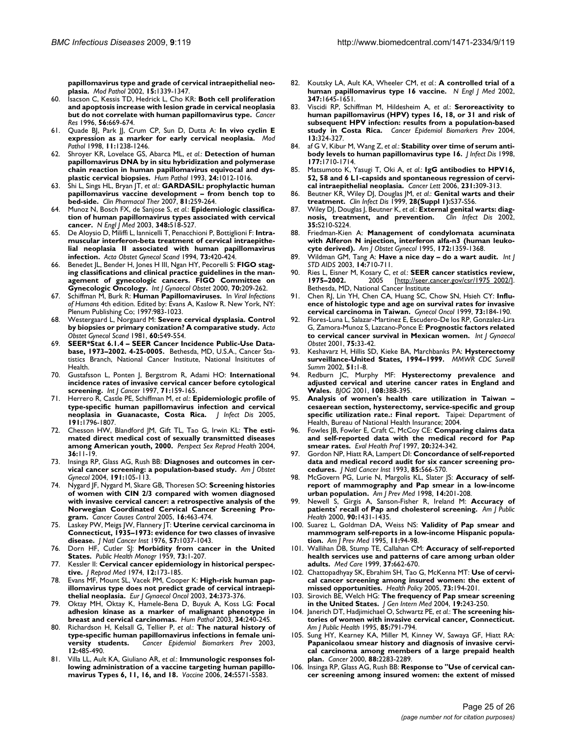**[papillomavirus type and grade of cervical intraepithelial neo](http://www.ncbi.nlm.nih.gov/entrez/query.fcgi?cmd=Retrieve&db=PubMed&dopt=Abstract&list_uids=12481016)[plasia.](http://www.ncbi.nlm.nih.gov/entrez/query.fcgi?cmd=Retrieve&db=PubMed&dopt=Abstract&list_uids=12481016)** *Mod Pathol* 2002, **15:**1339-1347.

- 60. Isacson C, Kessis TD, Hedrick L, Cho KR: **[Both cell proliferation](http://www.ncbi.nlm.nih.gov/entrez/query.fcgi?cmd=Retrieve&db=PubMed&dopt=Abstract&list_uids=8630992) [and apoptosis increase with lesion grade in cervical neoplasia](http://www.ncbi.nlm.nih.gov/entrez/query.fcgi?cmd=Retrieve&db=PubMed&dopt=Abstract&list_uids=8630992) [but do not correlate with human papillomavirus type.](http://www.ncbi.nlm.nih.gov/entrez/query.fcgi?cmd=Retrieve&db=PubMed&dopt=Abstract&list_uids=8630992)** *Cancer Res* 1996, **56:**669-674.
- 61. Quade BJ, Park JJ, Crum CP, Sun D, Dutta A: **[In vivo cyclin E](http://www.ncbi.nlm.nih.gov/entrez/query.fcgi?cmd=Retrieve&db=PubMed&dopt=Abstract&list_uids=9872657) [expression as a marker for early cervical neoplasia.](http://www.ncbi.nlm.nih.gov/entrez/query.fcgi?cmd=Retrieve&db=PubMed&dopt=Abstract&list_uids=9872657)** *Mod Pathol* 1998, **11:**1238-1246.
- 62. Shroyer KR, Lovelace GS, Abarca ML, *et al.*: **[Detection of human](http://www.ncbi.nlm.nih.gov/entrez/query.fcgi?cmd=Retrieve&db=PubMed&dopt=Abstract&list_uids=8253456) [papillomavirus DNA by in situ hybridization and polymerase](http://www.ncbi.nlm.nih.gov/entrez/query.fcgi?cmd=Retrieve&db=PubMed&dopt=Abstract&list_uids=8253456) chain reaction in human papillomavirus equivocal and dys[plastic cervical biopsies.](http://www.ncbi.nlm.nih.gov/entrez/query.fcgi?cmd=Retrieve&db=PubMed&dopt=Abstract&list_uids=8253456)** *Hum Pathol* 1993, **24:**1012-1016.
- 63. Shi L, Sings HL, Bryan JT, *et al.*: **[GARDASIL: prophylactic human](http://www.ncbi.nlm.nih.gov/entrez/query.fcgi?cmd=Retrieve&db=PubMed&dopt=Abstract&list_uids=17259949) [papillomavirus vaccine development – from bench top to](http://www.ncbi.nlm.nih.gov/entrez/query.fcgi?cmd=Retrieve&db=PubMed&dopt=Abstract&list_uids=17259949) [bed-side.](http://www.ncbi.nlm.nih.gov/entrez/query.fcgi?cmd=Retrieve&db=PubMed&dopt=Abstract&list_uids=17259949)** *Clin Pharmacol Ther* 2007, **81:**259-264.
- 64. Munoz N, Bosch FX, de Sanjose S, *et al.*: **[Epidemiologic classifica](http://www.ncbi.nlm.nih.gov/entrez/query.fcgi?cmd=Retrieve&db=PubMed&dopt=Abstract&list_uids=12571259)[tion of human papillomavirus types associated with cervical](http://www.ncbi.nlm.nih.gov/entrez/query.fcgi?cmd=Retrieve&db=PubMed&dopt=Abstract&list_uids=12571259) [cancer.](http://www.ncbi.nlm.nih.gov/entrez/query.fcgi?cmd=Retrieve&db=PubMed&dopt=Abstract&list_uids=12571259)** *N Engl J Med* 2003, **348:**518-527.
- 65. De Aloysio D, Miliffi L, Iannicelli T, Penacchioni P, Bottiglioni F: **[Intra](http://www.ncbi.nlm.nih.gov/entrez/query.fcgi?cmd=Retrieve&db=PubMed&dopt=Abstract&list_uids=8009976)[muscular interferon-beta treatment of cervical intraepithe](http://www.ncbi.nlm.nih.gov/entrez/query.fcgi?cmd=Retrieve&db=PubMed&dopt=Abstract&list_uids=8009976)lial neoplasia II associated with human papillomavirus [infection.](http://www.ncbi.nlm.nih.gov/entrez/query.fcgi?cmd=Retrieve&db=PubMed&dopt=Abstract&list_uids=8009976)** *Acta Obstet Gynecol Scand* 1994, **73:**420-424.
- 66. Benedet JL, Bender H, Jones H III, Ngan HY, Pecorelli S: **[FIGO stag](http://www.ncbi.nlm.nih.gov/entrez/query.fcgi?cmd=Retrieve&db=PubMed&dopt=Abstract&list_uids=11041682)[ing classifications and clinical practice guidelines in the man](http://www.ncbi.nlm.nih.gov/entrez/query.fcgi?cmd=Retrieve&db=PubMed&dopt=Abstract&list_uids=11041682)agement of gynecologic cancers. FIGO Committee on [Gynecologic Oncology.](http://www.ncbi.nlm.nih.gov/entrez/query.fcgi?cmd=Retrieve&db=PubMed&dopt=Abstract&list_uids=11041682)** *Int J Gynaecol Obstet* 2000, **70:**209-262.
- 67. Schiffman M, Burk R: **Human Papillomaviruses.** In *Viral Infections of Humans* 4th edition. Edited by: Evans A, Kaslow R. New York, NY: Plenum Publishing Co; 1997:983-1023.
- 68. Westergaard L, Norgaard M: **[Severe cervical dysplasia. Control](http://www.ncbi.nlm.nih.gov/entrez/query.fcgi?cmd=Retrieve&db=PubMed&dopt=Abstract&list_uids=7336893) [by biopsies or primary conization? A comparative study.](http://www.ncbi.nlm.nih.gov/entrez/query.fcgi?cmd=Retrieve&db=PubMed&dopt=Abstract&list_uids=7336893)** *Acta Obstet Gynecol Scand* 1981, **60:**549-554.
- 69. **SEER\*Stat 6.1.4 SEER Cancer Incidence Public-Use Database, 1973–2002. 4-25-0005.** Bethesda, MD, U.S.A., Cancer Statistics Branch, National Cancer Institute, National Insititutes of Health.
- 70. Gustafsson L, Ponten J, Bergstrom R, Adami HO: **[International](http://www.ncbi.nlm.nih.gov/entrez/query.fcgi?cmd=Retrieve&db=PubMed&dopt=Abstract&list_uids=9139836) [incidence rates of invasive cervical cancer before cytological](http://www.ncbi.nlm.nih.gov/entrez/query.fcgi?cmd=Retrieve&db=PubMed&dopt=Abstract&list_uids=9139836) [screening.](http://www.ncbi.nlm.nih.gov/entrez/query.fcgi?cmd=Retrieve&db=PubMed&dopt=Abstract&list_uids=9139836)** *Int J Cancer* 1997, **71:**159-165.
- 71. Herrero R, Castle PE, Schiffman M, *et al.*: **[Epidemiologic profile of](http://www.ncbi.nlm.nih.gov/entrez/query.fcgi?cmd=Retrieve&db=PubMed&dopt=Abstract&list_uids=15871111) [type-specific human papillomavirus infection and cervical](http://www.ncbi.nlm.nih.gov/entrez/query.fcgi?cmd=Retrieve&db=PubMed&dopt=Abstract&list_uids=15871111) [neoplasia in Guanacaste, Costa Rica.](http://www.ncbi.nlm.nih.gov/entrez/query.fcgi?cmd=Retrieve&db=PubMed&dopt=Abstract&list_uids=15871111)** *J Infect Dis* 2005, **191:**1796-1807.
- 72. Chesson HW, Blandford JM, Gift TL, Tao G, Irwin KL: **[The esti](http://www.ncbi.nlm.nih.gov/entrez/query.fcgi?cmd=Retrieve&db=PubMed&dopt=Abstract&list_uids=14982672)[mated direct medical cost of sexually transmitted diseases](http://www.ncbi.nlm.nih.gov/entrez/query.fcgi?cmd=Retrieve&db=PubMed&dopt=Abstract&list_uids=14982672) [among American youth, 2000.](http://www.ncbi.nlm.nih.gov/entrez/query.fcgi?cmd=Retrieve&db=PubMed&dopt=Abstract&list_uids=14982672)** *Perspect Sex Reprod Health* 2004, **36:**11-19.
- 73. Insinga RP, Glass AG, Rush BB: **[Diagnoses and outcomes in cer](http://www.ncbi.nlm.nih.gov/entrez/query.fcgi?cmd=Retrieve&db=PubMed&dopt=Abstract&list_uids=15295350)[vical cancer screening: a population-based study.](http://www.ncbi.nlm.nih.gov/entrez/query.fcgi?cmd=Retrieve&db=PubMed&dopt=Abstract&list_uids=15295350)** *Am J Obstet Gynecol* 2004, **191:**105-113.
- 74. Nygard JF, Nygard M, Skare GB, Thoresen SO: **[Screening histories](http://www.ncbi.nlm.nih.gov/entrez/query.fcgi?cmd=Retrieve&db=PubMed&dopt=Abstract&list_uids=15953989) [of women with CIN 2/3 compared with women diagnosed](http://www.ncbi.nlm.nih.gov/entrez/query.fcgi?cmd=Retrieve&db=PubMed&dopt=Abstract&list_uids=15953989) with invasive cervical cancer: a retrospective analysis of the Norwegian Coordinated Cervical Cancer Screening Pro[gram.](http://www.ncbi.nlm.nih.gov/entrez/query.fcgi?cmd=Retrieve&db=PubMed&dopt=Abstract&list_uids=15953989)** *Cancer Causes Control* 2005, **16:**463-474.
- 75. Laskey PW, Meigs JW, Flannery JT: **[Uterine cervical carcinoma in](http://www.ncbi.nlm.nih.gov/entrez/query.fcgi?cmd=Retrieve&db=PubMed&dopt=Abstract&list_uids=1003540) [Connecticut, 1935–1973: evidence for two classes of invasive](http://www.ncbi.nlm.nih.gov/entrez/query.fcgi?cmd=Retrieve&db=PubMed&dopt=Abstract&list_uids=1003540) [disease.](http://www.ncbi.nlm.nih.gov/entrez/query.fcgi?cmd=Retrieve&db=PubMed&dopt=Abstract&list_uids=1003540)** *J Natl Cancer Inst* 1976, **57:**1037-1043.
- 76. Dorn HF, Cutler SJ: **Morbidity from cancer in the United States.** *Public Health Monogr* 1959, **73:**1-207.
- 77. Kessler II: **[Cervical cancer epidemiology in historical perspec](http://www.ncbi.nlm.nih.gov/entrez/query.fcgi?cmd=Retrieve&db=PubMed&dopt=Abstract&list_uids=4599289)[tive.](http://www.ncbi.nlm.nih.gov/entrez/query.fcgi?cmd=Retrieve&db=PubMed&dopt=Abstract&list_uids=4599289)** *J Reprod Med* 1974, **12:**173-185.
- 78. Evans MF, Mount SL, Vacek PM, Cooper K: **[High-risk human pap](http://www.ncbi.nlm.nih.gov/entrez/query.fcgi?cmd=Retrieve&db=PubMed&dopt=Abstract&list_uids=14584647)[illomavirus type does not predict grade of cervical intraepi](http://www.ncbi.nlm.nih.gov/entrez/query.fcgi?cmd=Retrieve&db=PubMed&dopt=Abstract&list_uids=14584647)[thelial neoplasia.](http://www.ncbi.nlm.nih.gov/entrez/query.fcgi?cmd=Retrieve&db=PubMed&dopt=Abstract&list_uids=14584647)** *Eur J Gynaecol Oncol* 2003, **24:**373-376.
- 79. Oktay MH, Oktay K, Hamele-Bena D, Buyuk A, Koss LG: **[Focal](http://www.ncbi.nlm.nih.gov/entrez/query.fcgi?cmd=Retrieve&db=PubMed&dopt=Abstract&list_uids=12673558) [adhesion kinase as a marker of malignant phenotype in](http://www.ncbi.nlm.nih.gov/entrez/query.fcgi?cmd=Retrieve&db=PubMed&dopt=Abstract&list_uids=12673558) [breast and cervical carcinomas.](http://www.ncbi.nlm.nih.gov/entrez/query.fcgi?cmd=Retrieve&db=PubMed&dopt=Abstract&list_uids=12673558)** *Hum Pathol* 2003, **34:**240-245.
- 80. Richardson H, Kelsall G, Tellier P, *et al.*: **[The natural history of](http://www.ncbi.nlm.nih.gov/entrez/query.fcgi?cmd=Retrieve&db=PubMed&dopt=Abstract&list_uids=12814991) [type-specific human papillomavirus infections in female uni](http://www.ncbi.nlm.nih.gov/entrez/query.fcgi?cmd=Retrieve&db=PubMed&dopt=Abstract&list_uids=12814991)[versity students.](http://www.ncbi.nlm.nih.gov/entrez/query.fcgi?cmd=Retrieve&db=PubMed&dopt=Abstract&list_uids=12814991)** *Cancer Epidemiol Biomarkers Prev* 2003, **12:**485-490.
- 81. Villa LL, Ault KA, Giuliano AR, *et al.*: **[Immunologic responses fol](http://www.ncbi.nlm.nih.gov/entrez/query.fcgi?cmd=Retrieve&db=PubMed&dopt=Abstract&list_uids=16753240)[lowing administration of a vaccine targeting human papillo](http://www.ncbi.nlm.nih.gov/entrez/query.fcgi?cmd=Retrieve&db=PubMed&dopt=Abstract&list_uids=16753240)[mavirus Types 6, 11, 16, and 18.](http://www.ncbi.nlm.nih.gov/entrez/query.fcgi?cmd=Retrieve&db=PubMed&dopt=Abstract&list_uids=16753240)** *Vaccine* 2006, **24:**5571-5583.
- 82. Koutsky LA, Ault KA, Wheeler CM, *et al.*: **[A controlled trial of a](http://www.ncbi.nlm.nih.gov/entrez/query.fcgi?cmd=Retrieve&db=PubMed&dopt=Abstract&list_uids=12444178) [human papillomavirus type 16 vaccine.](http://www.ncbi.nlm.nih.gov/entrez/query.fcgi?cmd=Retrieve&db=PubMed&dopt=Abstract&list_uids=12444178)** *N Engl J Med* 2002, **347:**1645-1651.
- 83. Viscidi RP, Schiffman M, Hildesheim A, *et al.*: **[Seroreactivity to](http://www.ncbi.nlm.nih.gov/entrez/query.fcgi?cmd=Retrieve&db=PubMed&dopt=Abstract&list_uids=14973086) [human papillomavirus \(HPV\) types 16, 18, or 31 and risk of](http://www.ncbi.nlm.nih.gov/entrez/query.fcgi?cmd=Retrieve&db=PubMed&dopt=Abstract&list_uids=14973086) subsequent HPV infection: results from a population-based [study in Costa Rica.](http://www.ncbi.nlm.nih.gov/entrez/query.fcgi?cmd=Retrieve&db=PubMed&dopt=Abstract&list_uids=14973086)** *Cancer Epidemiol Biomarkers Prev* 2004, **13:**324-327.
- 84. af G V, Kibur M, Wang Z, *et al.*: **[Stability over time of serum anti](http://www.ncbi.nlm.nih.gov/entrez/query.fcgi?cmd=Retrieve&db=PubMed&dopt=Abstract&list_uids=9607854)[body levels to human papillomavirus type 16.](http://www.ncbi.nlm.nih.gov/entrez/query.fcgi?cmd=Retrieve&db=PubMed&dopt=Abstract&list_uids=9607854)** *J Infect Dis* 1998, **177:**1710-1714.
- 85. Matsumoto K, Yasugi T, Oki A, *et al.*: **[IgG antibodies to HPV16,](http://www.ncbi.nlm.nih.gov/entrez/query.fcgi?cmd=Retrieve&db=PubMed&dopt=Abstract&list_uids=16399232) [52, 58 and 6 L1-capsids and spontaneous regression of cervi](http://www.ncbi.nlm.nih.gov/entrez/query.fcgi?cmd=Retrieve&db=PubMed&dopt=Abstract&list_uids=16399232)[cal intraepithelial neoplasia.](http://www.ncbi.nlm.nih.gov/entrez/query.fcgi?cmd=Retrieve&db=PubMed&dopt=Abstract&list_uids=16399232)** *Cancer Lett* 2006, **231:**309-313.
- 86. Beutner KR, Wiley DJ, Douglas JM, *et al.*: **[Genital warts and their](http://www.ncbi.nlm.nih.gov/entrez/query.fcgi?cmd=Retrieve&db=PubMed&dopt=Abstract&list_uids=10028109) [treatment.](http://www.ncbi.nlm.nih.gov/entrez/query.fcgi?cmd=Retrieve&db=PubMed&dopt=Abstract&list_uids=10028109)** *Clin Infect Dis* 1999, **28(Suppl 1):**S37-S56.
- 87. Wiley DJ, Douglas J, Beutner K, *et al.*: **[External genital warts: diag](http://www.ncbi.nlm.nih.gov/entrez/query.fcgi?cmd=Retrieve&db=PubMed&dopt=Abstract&list_uids=12353208)[nosis, treatment, and prevention.](http://www.ncbi.nlm.nih.gov/entrez/query.fcgi?cmd=Retrieve&db=PubMed&dopt=Abstract&list_uids=12353208)** *Clin Infect Dis* 2002, **35:**S210-S224.
- 88. Friedman-Kien A: **[Management of condylomata acuminata](http://www.ncbi.nlm.nih.gov/entrez/query.fcgi?cmd=Retrieve&db=PubMed&dopt=Abstract&list_uids=7726291) [with Alferon N injection, interferon alfa-n3 \(human leuko](http://www.ncbi.nlm.nih.gov/entrez/query.fcgi?cmd=Retrieve&db=PubMed&dopt=Abstract&list_uids=7726291)[cyte derived\).](http://www.ncbi.nlm.nih.gov/entrez/query.fcgi?cmd=Retrieve&db=PubMed&dopt=Abstract&list_uids=7726291)** *Am J Obstet Gynecol* 1995, **172:**1359-1368.
- 89. Wildman GM, Tang A: **[Have a nice day do a wart audit.](http://www.ncbi.nlm.nih.gov/entrez/query.fcgi?cmd=Retrieve&db=PubMed&dopt=Abstract&list_uids=14596776)** *Int J STD AIDS* 2003, **14:**710-711.
- 90. Ries L, Eisner M, Kosary C, *et al.*: **SEER cancer statistics review, 1975–2002.** 2005 [\[http://seer.cancer.gov/csr/1975\\_2002/\]](http://seer.cancer.gov/csr/1975_2002/). Bethesda, MD, National Cancer Institute
- 91. Chen RJ, Lin YH, Chen CA, Huang SC, Chow SN, Hsieh CY: **[Influ](http://www.ncbi.nlm.nih.gov/entrez/query.fcgi?cmd=Retrieve&db=PubMed&dopt=Abstract&list_uids=10329032)[ence of histologic type and age on survival rates for invasive](http://www.ncbi.nlm.nih.gov/entrez/query.fcgi?cmd=Retrieve&db=PubMed&dopt=Abstract&list_uids=10329032) [cervical carcinoma in Taiwan.](http://www.ncbi.nlm.nih.gov/entrez/query.fcgi?cmd=Retrieve&db=PubMed&dopt=Abstract&list_uids=10329032)** *Gynecol Oncol* 1999, **73:**184-190.
- 92. Flores-Luna L, Salazar-Martinez E, Escudero-De los RP, Gonzalez-Lira G, Zamora-Munoz S, Lazcano-Ponce E: **[Prognostic factors related](http://www.ncbi.nlm.nih.gov/entrez/query.fcgi?cmd=Retrieve&db=PubMed&dopt=Abstract&list_uids=11597617) [to cervical cancer survival in Mexican women.](http://www.ncbi.nlm.nih.gov/entrez/query.fcgi?cmd=Retrieve&db=PubMed&dopt=Abstract&list_uids=11597617)** *Int J Gynaecol Obstet* 2001, **75:**33-42.
- 93. Keshavarz H, Hillis SD, Kieke BA, Marchbanks PA: **Hysterectomy surveillance-United States, 1994–1999.** *MMWR CDC Surveill Summ* 2002, **51:**1-8.
- 94. Redburn JC, Murphy MF: **[Hysterectomy prevalence and](http://www.ncbi.nlm.nih.gov/entrez/query.fcgi?cmd=Retrieve&db=PubMed&dopt=Abstract&list_uids=11305546) [adjusted cervical and uterine cancer rates in England and](http://www.ncbi.nlm.nih.gov/entrez/query.fcgi?cmd=Retrieve&db=PubMed&dopt=Abstract&list_uids=11305546) [Wales.](http://www.ncbi.nlm.nih.gov/entrez/query.fcgi?cmd=Retrieve&db=PubMed&dopt=Abstract&list_uids=11305546)** *BJOG* 2001, **108:**388-395.
- 95. **Analysis of women's health care utilization in Taiwan – cesaerean section, hysterectomy, service-specific and group specific utilization rate.: Final report.** Taipei: Department of Health, Bureau of National Health Insurance; 2004.
- 96. Fowles JB, Fowler E, Craft C, McCoy CE: **[Comparing claims data](http://www.ncbi.nlm.nih.gov/entrez/query.fcgi?cmd=Retrieve&db=PubMed&dopt=Abstract&list_uids=10183327) [and self-reported data with the medical record for Pap](http://www.ncbi.nlm.nih.gov/entrez/query.fcgi?cmd=Retrieve&db=PubMed&dopt=Abstract&list_uids=10183327) [smear rates.](http://www.ncbi.nlm.nih.gov/entrez/query.fcgi?cmd=Retrieve&db=PubMed&dopt=Abstract&list_uids=10183327)** *Eval Health Prof* 1997, **20:**324-342.
- 97. Gordon NP, Hiatt RA, Lampert DI: **[Concordance of self-reported](http://www.ncbi.nlm.nih.gov/entrez/query.fcgi?cmd=Retrieve&db=PubMed&dopt=Abstract&list_uids=8455203) [data and medical record audit for six cancer screening pro](http://www.ncbi.nlm.nih.gov/entrez/query.fcgi?cmd=Retrieve&db=PubMed&dopt=Abstract&list_uids=8455203)[cedures.](http://www.ncbi.nlm.nih.gov/entrez/query.fcgi?cmd=Retrieve&db=PubMed&dopt=Abstract&list_uids=8455203)** *J Natl Cancer Inst* 1993, **85:**566-570.
- 98. McGovern PG, Lurie N, Margolis KL, Slater JS: **[Accuracy of self](http://www.ncbi.nlm.nih.gov/entrez/query.fcgi?cmd=Retrieve&db=PubMed&dopt=Abstract&list_uids=9569221)[report of mammography and Pap smear in a low-income](http://www.ncbi.nlm.nih.gov/entrez/query.fcgi?cmd=Retrieve&db=PubMed&dopt=Abstract&list_uids=9569221) [urban population.](http://www.ncbi.nlm.nih.gov/entrez/query.fcgi?cmd=Retrieve&db=PubMed&dopt=Abstract&list_uids=9569221)** *Am J Prev Med* 1998, **14:**201-208.
- 99. Newell S, Girgis A, Sanson-Fisher R, Ireland M: **[Accuracy of](http://www.ncbi.nlm.nih.gov/entrez/query.fcgi?cmd=Retrieve&db=PubMed&dopt=Abstract&list_uids=10983202) [patients' recall of Pap and cholesterol screening.](http://www.ncbi.nlm.nih.gov/entrez/query.fcgi?cmd=Retrieve&db=PubMed&dopt=Abstract&list_uids=10983202)** *Am J Public Health* 2000, **90:**1431-1435.
- 100. Suarez L, Goldman DA, Weiss NS: **[Validity of Pap smear and](http://www.ncbi.nlm.nih.gov/entrez/query.fcgi?cmd=Retrieve&db=PubMed&dopt=Abstract&list_uids=7632456) [mammogram self-reports in a low-income Hispanic popula](http://www.ncbi.nlm.nih.gov/entrez/query.fcgi?cmd=Retrieve&db=PubMed&dopt=Abstract&list_uids=7632456)[tion.](http://www.ncbi.nlm.nih.gov/entrez/query.fcgi?cmd=Retrieve&db=PubMed&dopt=Abstract&list_uids=7632456)** *Am J Prev Med* 1995, **11:**94-98.
- 101. Wallihan DB, Stump TE, Callahan CM: **[Accuracy of self-reported](http://www.ncbi.nlm.nih.gov/entrez/query.fcgi?cmd=Retrieve&db=PubMed&dopt=Abstract&list_uids=10424637) [health services use and patterns of care among urban older](http://www.ncbi.nlm.nih.gov/entrez/query.fcgi?cmd=Retrieve&db=PubMed&dopt=Abstract&list_uids=10424637) [adults.](http://www.ncbi.nlm.nih.gov/entrez/query.fcgi?cmd=Retrieve&db=PubMed&dopt=Abstract&list_uids=10424637)** *Med Care* 1999, **37:**662-670.
- 102. Chattopadhyay SK, Ebrahim SH, Tao G, McKenna MT: **[Use of cervi](http://www.ncbi.nlm.nih.gov/entrez/query.fcgi?cmd=Retrieve&db=PubMed&dopt=Abstract&list_uids=15978962)[cal cancer screening among insured women: the extent of](http://www.ncbi.nlm.nih.gov/entrez/query.fcgi?cmd=Retrieve&db=PubMed&dopt=Abstract&list_uids=15978962) [missed opportunities.](http://www.ncbi.nlm.nih.gov/entrez/query.fcgi?cmd=Retrieve&db=PubMed&dopt=Abstract&list_uids=15978962)** *Health Policy* 2005, **73:**194-201.
- 103. Sirovich BE, Welch HG: **[The frequency of Pap smear screening](http://www.ncbi.nlm.nih.gov/entrez/query.fcgi?cmd=Retrieve&db=PubMed&dopt=Abstract&list_uids=15009779) [in the United States.](http://www.ncbi.nlm.nih.gov/entrez/query.fcgi?cmd=Retrieve&db=PubMed&dopt=Abstract&list_uids=15009779)** *J Gen Intern Med* 2004, **19:**243-250.
- 104. Janerich DT, Hadjimichael O, Schwartz PE, *et al.*: **[The screening his](http://www.ncbi.nlm.nih.gov/entrez/query.fcgi?cmd=Retrieve&db=PubMed&dopt=Abstract&list_uids=7762711)[tories of women with invasive cervical cancer, Connecticut.](http://www.ncbi.nlm.nih.gov/entrez/query.fcgi?cmd=Retrieve&db=PubMed&dopt=Abstract&list_uids=7762711)** *Am J Public Health* 1995, **85:**791-794.
- 105. Sung HY, Kearney KA, Miller M, Kinney W, Sawaya GF, Hiatt RA: **[Papanicolaou smear history and diagnosis of invasive cervi](http://www.ncbi.nlm.nih.gov/entrez/query.fcgi?cmd=Retrieve&db=PubMed&dopt=Abstract&list_uids=10820350)cal carcinoma among members of a large prepaid health [plan.](http://www.ncbi.nlm.nih.gov/entrez/query.fcgi?cmd=Retrieve&db=PubMed&dopt=Abstract&list_uids=10820350)** *Cancer* 2000, **88:**2283-2289.
- 106. Insinga RP, Glass AG, Rush BB: **[Response to "Use of cervical can](http://www.ncbi.nlm.nih.gov/entrez/query.fcgi?cmd=Retrieve&db=PubMed&dopt=Abstract&list_uids=16297495)[cer screening among insured women: the extent of missed](http://www.ncbi.nlm.nih.gov/entrez/query.fcgi?cmd=Retrieve&db=PubMed&dopt=Abstract&list_uids=16297495)**